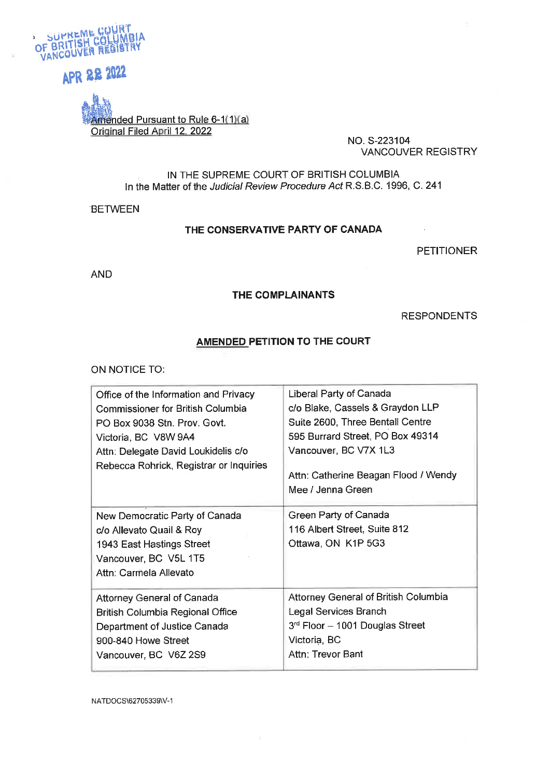

# APR 22 2022

Imended Pursuant to Rule 6-1(1)(a) Original Filed April 12, 2022

NO. S-223104 **VANCOUVER REGISTRY** 

 $\sim$ 

IN THE SUPREME COURT OF BRITISH COLUMBIA In the Matter of the Judicial Review Procedure Act R.S.B.C. 1996, C. 241

**BETWEEN** 

#### THE CONSERVATIVE PARTY OF CANADA

**PETITIONER** 

**AND** 

#### THE COMPLAINANTS

**RESPONDENTS** 

#### AMENDED PETITION TO THE COURT

ON NOTICE TO:

| Office of the Information and Privacy<br><b>Commissioner for British Columbia</b><br>PO Box 9038 Stn. Prov. Govt.<br>Victoria, BC V8W 9A4<br>Attn: Delegate David Loukidelis c/o<br>Rebecca Rohrick, Registrar or Inquiries | Liberal Party of Canada<br>c/o Blake, Cassels & Graydon LLP<br>Suite 2600, Three Bentall Centre<br>595 Burrard Street, PO Box 49314<br>Vancouver, BC V7X 1L3<br>Attn: Catherine Beagan Flood / Wendy<br>Mee / Jenna Green |
|-----------------------------------------------------------------------------------------------------------------------------------------------------------------------------------------------------------------------------|---------------------------------------------------------------------------------------------------------------------------------------------------------------------------------------------------------------------------|
| New Democratic Party of Canada<br>c/o Allevato Quail & Roy<br>1943 East Hastings Street<br>Vancouver, BC V5L 1T5<br>Attn: Carmela Allevato                                                                                  | Green Party of Canada<br>116 Albert Street, Suite 812<br>Ottawa, ON K1P 5G3                                                                                                                                               |
| <b>Attorney General of Canada</b><br><b>British Columbia Regional Office</b><br>Department of Justice Canada<br>900-840 Howe Street<br>Vancouver, BC V6Z 2S9                                                                | Attorney General of British Columbia<br><b>Legal Services Branch</b><br>$3rd$ Floor - 1001 Douglas Street<br>Victoria, BC<br><b>Attn: Trevor Bant</b>                                                                     |

NATDOCS\62705339\V-1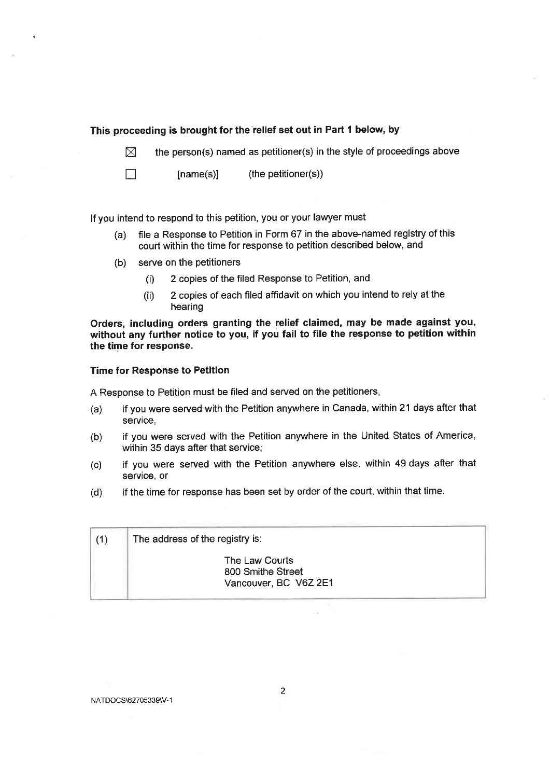#### This proceeding is brought for the relief set out in Part 1 below, by

the person(s) named as petitioner(s) in the style of proceedings above  $\boxtimes$ 

(the petitioner(s))  $[name(s)]$ 

If you intend to respond to this petition, you or your lawyer must

- file a Response to Petition in Form 67 in the above-named registry of this  $(a)$ court within the time for response to petition described below, and
- $(b)$ serve on the petitioners

 $\Box$ 

- 2 copies of the filed Response to Petition, and  $(i)$
- 2 copies of each filed affidavit on which you intend to rely at the  $(ii)$ hearing

Orders, including orders granting the relief claimed, may be made against you, without any further notice to you, if you fail to file the response to petition within the time for response.

#### **Time for Response to Petition**

A Response to Petition must be filed and served on the petitioners,

- if you were served with the Petition anywhere in Canada, within 21 days after that  $(a)$ service,
- if you were served with the Petition anywhere in the United States of America,  $(b)$ within 35 days after that service;
- if you were served with the Petition anywhere else, within 49 days after that  $(c)$ service, or
- if the time for response has been set by order of the court, within that time.  $(d)$

| (1) | The address of the registry is:                              |  |
|-----|--------------------------------------------------------------|--|
|     | The Law Courts<br>800 Smithe Street<br>Vancouver, BC V6Z 2E1 |  |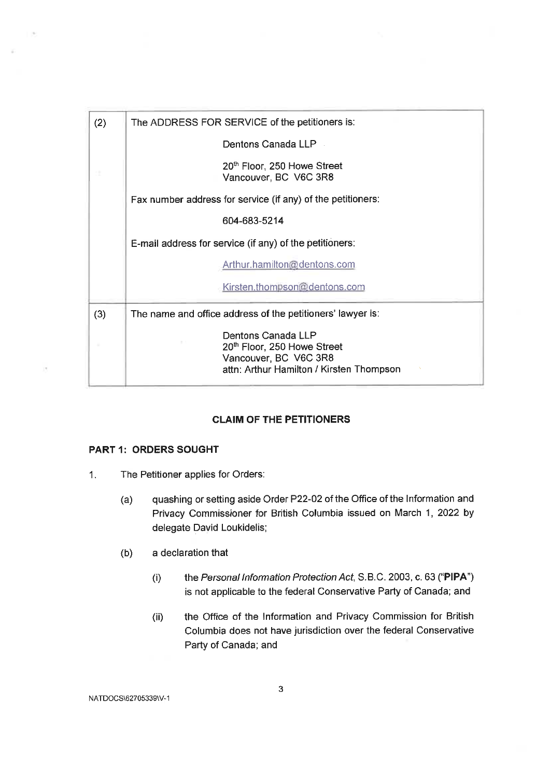| (2) | The ADDRESS FOR SERVICE of the petitioners is:                                                                         |  |
|-----|------------------------------------------------------------------------------------------------------------------------|--|
|     | Dentons Canada LLP                                                                                                     |  |
|     | 20 <sup>th</sup> Floor, 250 Howe Street<br>Vancouver, BC V6C 3R8                                                       |  |
|     | Fax number address for service (if any) of the petitioners:                                                            |  |
|     | 604-683-5214                                                                                                           |  |
|     | E-mail address for service (if any) of the petitioners:                                                                |  |
|     | Arthur.hamilton@dentons.com                                                                                            |  |
|     | Kirsten.thompson@dentons.com                                                                                           |  |
| (3) | The name and office address of the petitioners' lawyer is:                                                             |  |
|     | Dentons Canada LLP<br>20th Floor, 250 Howe Street<br>Vancouver, BC V6C 3R8<br>attn: Arthur Hamilton / Kirsten Thompson |  |

#### **CLAIM OF THE PETITIONERS**

#### **PART 1: ORDERS SOUGHT**

 $\overline{1}$ 

- $\mathbf{1}$ . The Petitioner applies for Orders:
	- $(a)$ quashing or setting aside Order P22-02 of the Office of the Information and Privacy Commissioner for British Columbia issued on March 1, 2022 by delegate David Loukidelis;
	- $(b)$ a declaration that
		- the Personal Information Protection Act, S.B.C. 2003, c. 63 ("PIPA")  $(i)$ is not applicable to the federal Conservative Party of Canada; and
		- the Office of the Information and Privacy Commission for British  $(ii)$ Columbia does not have jurisdiction over the federal Conservative Party of Canada; and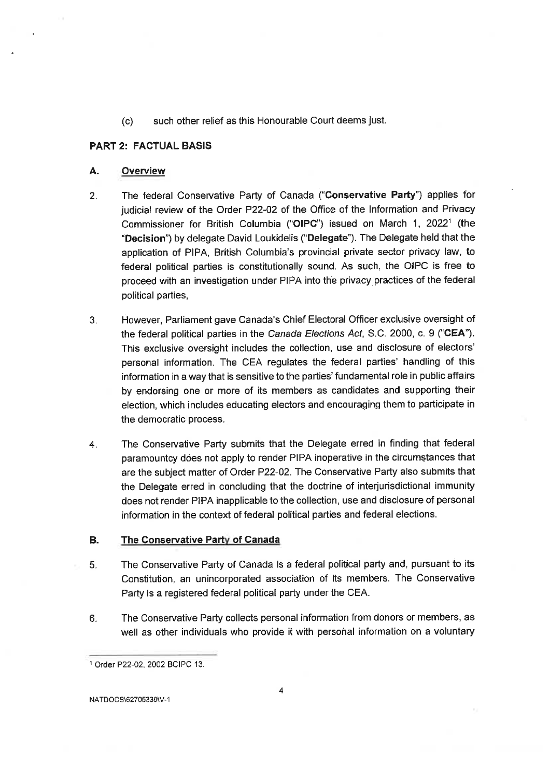such other relief as this Honourable Court deems just.  $(c)$ 

#### **PART 2: FACTUAL BASIS**

#### А. Overview

- The federal Conservative Party of Canada ("Conservative Party") applies for  $2.$ judicial review of the Order P22-02 of the Office of the Information and Privacy Commissioner for British Columbia ("OIPC") issued on March 1, 2022<sup>1</sup> (the "Decision") by delegate David Loukidelis ("Delegate"). The Delegate held that the application of PIPA, British Columbia's provincial private sector privacy law, to federal political parties is constitutionally sound. As such, the OIPC is free to proceed with an investigation under PIPA into the privacy practices of the federal political parties,
- However, Parliament gave Canada's Chief Electoral Officer exclusive oversight of  $3.$ the federal political parties in the Canada Elections Act, S.C. 2000, c. 9 ("CEA"). This exclusive oversight includes the collection, use and disclosure of electors' personal information. The CEA regulates the federal parties' handling of this information in a way that is sensitive to the parties' fundamental role in public affairs by endorsing one or more of its members as candidates and supporting their election, which includes educating electors and encouraging them to participate in the democratic process.
- The Conservative Party submits that the Delegate erred in finding that federal 4. paramountcy does not apply to render PIPA inoperative in the circumstances that are the subject matter of Order P22-02. The Conservative Party also submits that the Delegate erred in concluding that the doctrine of interjurisdictional immunity does not render PIPA inapplicable to the collection, use and disclosure of personal information in the context of federal political parties and federal elections.

#### **B.** The Conservative Party of Canada

- $5.$ The Conservative Party of Canada is a federal political party and, pursuant to its Constitution, an unincorporated association of its members. The Conservative Party is a registered federal political party under the CEA.
- The Conservative Party collects personal information from donors or members, as 6. well as other individuals who provide it with personal information on a voluntary

<sup>&</sup>lt;sup>1</sup> Order P22-02, 2002 BCIPC 13.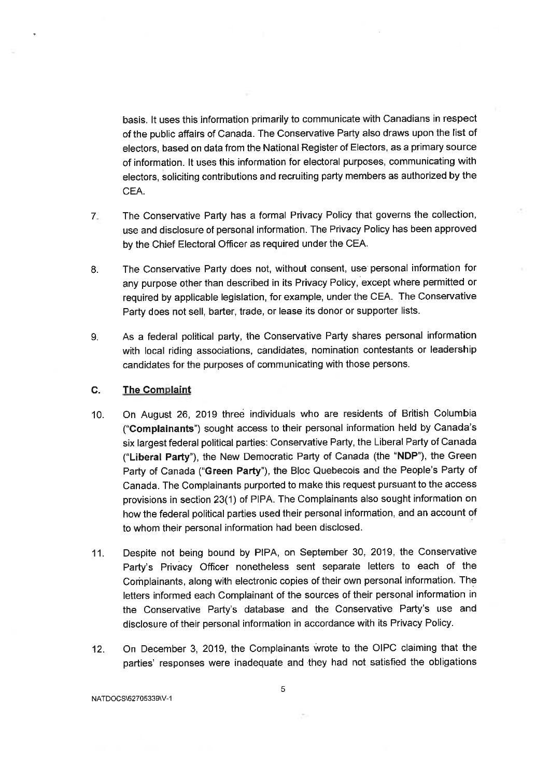basis. It uses this information primarily to communicate with Canadians in respect of the public affairs of Canada. The Conservative Party also draws upon the list of electors, based on data from the National Register of Electors, as a primary source of information. It uses this information for electoral purposes, communicating with electors, soliciting contributions and recruiting party members as authorized by the CEA.

- The Conservative Party has a formal Privacy Policy that governs the collection,  $7_{-}$ use and disclosure of personal information. The Privacy Policy has been approved by the Chief Electoral Officer as required under the CEA.
- The Conservative Party does not, without consent, use personal information for 8. any purpose other than described in its Privacy Policy, except where permitted or required by applicable legislation, for example, under the CEA. The Conservative Party does not sell, barter, trade, or lease its donor or supporter lists.
- As a federal political party, the Conservative Party shares personal information 9. with local riding associations, candidates, nomination contestants or leadership candidates for the purposes of communicating with those persons.

#### C. **The Complaint**

- On August 26, 2019 three individuals who are residents of British Columbia  $10.$ ("Complainants") sought access to their personal information held by Canada's six largest federal political parties: Conservative Party, the Liberal Party of Canada ("Liberal Party"), the New Democratic Party of Canada (the "NDP"), the Green Party of Canada ("Green Party"), the Bloc Quebecois and the People's Party of Canada. The Complainants purported to make this request pursuant to the access provisions in section 23(1) of PIPA. The Complainants also sought information on how the federal political parties used their personal information, and an account of to whom their personal information had been disclosed.
- Despite not being bound by PIPA, on September 30, 2019, the Conservative  $11.$ Party's Privacy Officer nonetheless sent separate letters to each of the Complainants, along with electronic copies of their own personal information. The letters informed each Complainant of the sources of their personal information in the Conservative Party's database and the Conservative Party's use and disclosure of their personal information in accordance with its Privacy Policy.
- On December 3, 2019, the Complainants wrote to the OIPC claiming that the  $12.$ parties' responses were inadequate and they had not satisfied the obligations

NATDOCS\62705339\V-1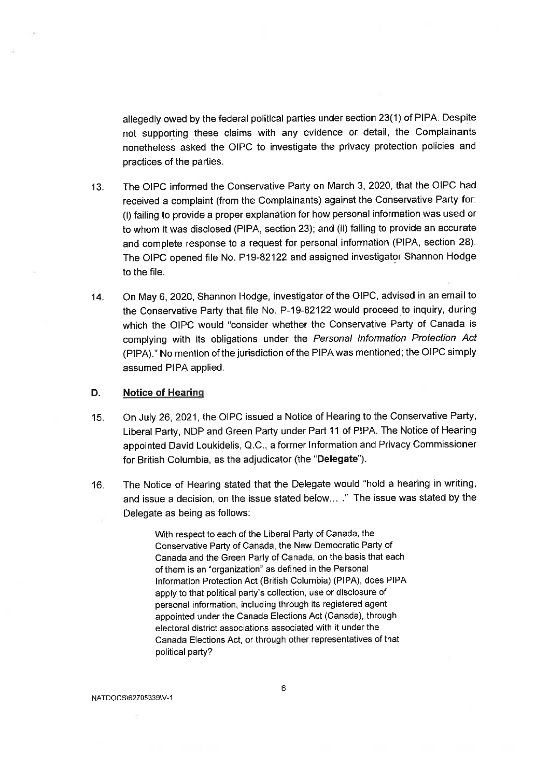allegedly owed by the federal political parties under section 23(1) of PIPA. Despite not supporting these claims with any evidence or detail, the Complainants nonetheless asked the OIPC to investigate the privacy protection policies and practices of the parties.

- The OIPC informed the Conservative Party on March 3, 2020, that the OIPC had  $13.$ received a complaint (from the Complainants) against the Conservative Party for: (i) failing to provide a proper explanation for how personal information was used or to whom it was disclosed (PIPA, section 23); and (ii) failing to provide an accurate and complete response to a request for personal information (PIPA, section 28). The OIPC opened file No. P19-82122 and assigned investigator Shannon Hodge to the file.
- On May 6, 2020, Shannon Hodge, investigator of the OIPC, advised in an email to  $14.$ the Conservative Party that file No. P-19-82122 would proceed to inquiry, during which the OIPC would "consider whether the Conservative Party of Canada is complying with its obligations under the Personal Information Protection Act (PIPA)." No mention of the jurisdiction of the PIPA was mentioned; the OIPC simply assumed PIPA applied.

#### D. **Notice of Hearing**

- On July 26, 2021, the OIPC issued a Notice of Hearing to the Conservative Party,  $15.$ Liberal Party, NDP and Green Party under Part 11 of PIPA. The Notice of Hearing appointed David Loukidelis, Q.C., a former Information and Privacy Commissioner for British Columbia, as the adjudicator (the "Delegate").
- The Notice of Hearing stated that the Delegate would "hold a hearing in writing, 16. and issue a decision, on the issue stated below... ." The issue was stated by the Delegate as being as follows:

With respect to each of the Liberal Party of Canada, the Conservative Party of Canada, the New Democratic Party of Canada and the Green Party of Canada, on the basis that each of them is an "organization" as defined in the Personal Information Protection Act (British Columbia) (PIPA), does PIPA apply to that political party's collection, use or disclosure of personal information, including through its registered agent appointed under the Canada Elections Act (Canada), through electoral district associations associated with it under the Canada Elections Act, or through other representatives of that political party?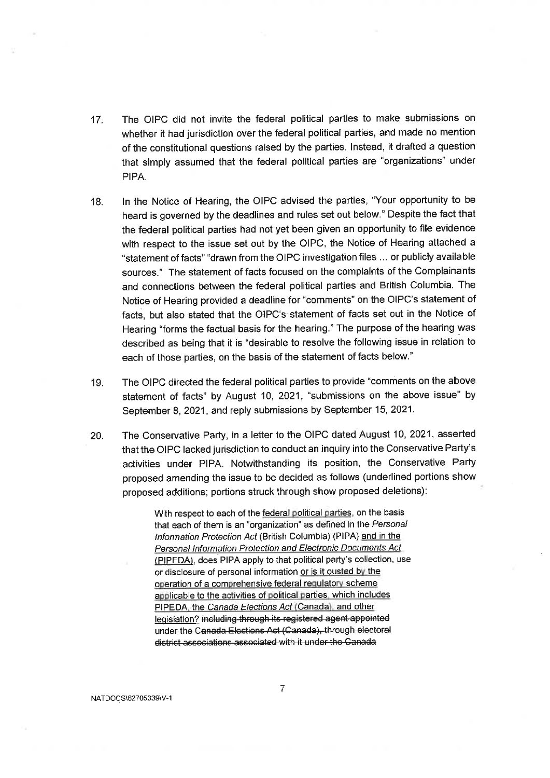- The OIPC did not invite the federal political parties to make submissions on  $17.$ whether it had jurisdiction over the federal political parties, and made no mention of the constitutional questions raised by the parties. Instead, it drafted a question that simply assumed that the federal political parties are "organizations" under PIPA.
- In the Notice of Hearing, the OIPC advised the parties, "Your opportunity to be 18. heard is governed by the deadlines and rules set out below." Despite the fact that the federal political parties had not yet been given an opportunity to file evidence with respect to the issue set out by the OIPC, the Notice of Hearing attached a "statement of facts" "drawn from the OIPC investigation files ... or publicly available sources." The statement of facts focused on the complaints of the Complainants and connections between the federal political parties and British Columbia. The Notice of Hearing provided a deadline for "comments" on the OIPC's statement of facts, but also stated that the OIPC's statement of facts set out in the Notice of Hearing "forms the factual basis for the hearing." The purpose of the hearing was described as being that it is "desirable to resolve the following issue in relation to each of those parties, on the basis of the statement of facts below."
- The OIPC directed the federal political parties to provide "comments on the above"  $19.$ statement of facts" by August 10, 2021, "submissions on the above issue" by September 8, 2021, and reply submissions by September 15, 2021.
- The Conservative Party, in a letter to the OIPC dated August 10, 2021, asserted 20. that the OIPC lacked jurisdiction to conduct an inquiry into the Conservative Party's activities under PIPA. Notwithstanding its position, the Conservative Party proposed amending the issue to be decided as follows (underlined portions show proposed additions; portions struck through show proposed deletions):

With respect to each of the federal political parties, on the basis that each of them is an "organization" as defined in the Personal Information Protection Act (British Columbia) (PIPA) and in the **Personal Information Protection and Electronic Documents Act** (PIPEDA), does PIPA apply to that political party's collection, use or disclosure of personal information or is it ousted by the operation of a comprehensive federal requlatory scheme applicable to the activities of political parties which includes PIPEDA, the Canada Elections Act (Canada), and other legislation? including through its registered agent appointed under the Canada Elections Act (Canada), through electoral district associations associated with it under the Canada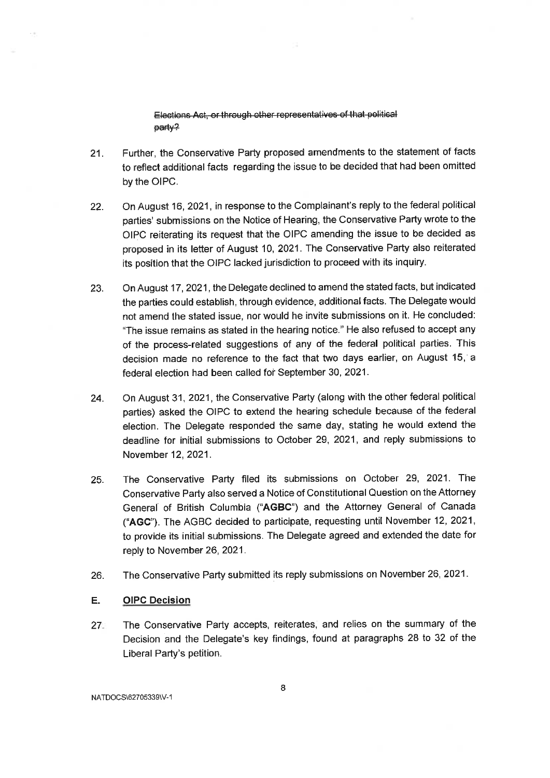Elections Act, or through other representatives of that political party?

- Further, the Conservative Party proposed amendments to the statement of facts  $21.$ to reflect additional facts regarding the issue to be decided that had been omitted by the OIPC.
- On August 16, 2021, in response to the Complainant's reply to the federal political  $22.$ parties' submissions on the Notice of Hearing, the Conservative Party wrote to the OIPC reiterating its request that the OIPC amending the issue to be decided as proposed in its letter of August 10, 2021. The Conservative Party also reiterated its position that the OIPC lacked jurisdiction to proceed with its inquiry.
- 23. On August 17, 2021, the Delegate declined to amend the stated facts, but indicated the parties could establish, through evidence, additional facts. The Delegate would not amend the stated issue, nor would he invite submissions on it. He concluded: "The issue remains as stated in the hearing notice." He also refused to accept any of the process-related suggestions of any of the federal political parties. This decision made no reference to the fact that two days earlier, on August 15, a federal election had been called for September 30, 2021.
- On August 31, 2021, the Conservative Party (along with the other federal political 24. parties) asked the OIPC to extend the hearing schedule because of the federal election. The Delegate responded the same day, stating he would extend the deadline for initial submissions to October 29, 2021, and reply submissions to November 12, 2021.
- The Conservative Party filed its submissions on October 29, 2021. The 25. Conservative Party also served a Notice of Constitutional Question on the Attorney General of British Columbia ("AGBC") and the Attorney General of Canada ("AGC"). The AGBC decided to participate, requesting until November 12, 2021, to provide its initial submissions. The Delegate agreed and extended the date for reply to November 26, 2021.
- The Conservative Party submitted its reply submissions on November 26, 2021. 26.

#### E. **OIPC Decision**

The Conservative Party accepts, reiterates, and relies on the summary of the  $27 -$ Decision and the Delegate's key findings, found at paragraphs 28 to 32 of the Liberal Party's petition.

NATDOCS\62705339\V-1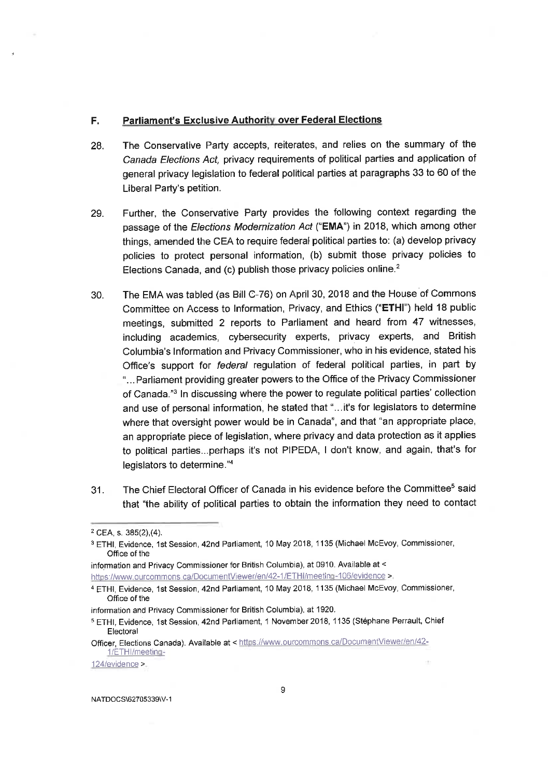#### **Parliament's Exclusive Authority over Federal Elections** F.

- The Conservative Party accepts, reiterates, and relies on the summary of the 28. Canada Elections Act, privacy requirements of political parties and application of general privacy legislation to federal political parties at paragraphs 33 to 60 of the Liberal Party's petition.
- Further, the Conservative Party provides the following context regarding the 29. passage of the Elections Modernization Act ("EMA") in 2018, which among other things, amended the CEA to require federal political parties to: (a) develop privacy policies to protect personal information, (b) submit those privacy policies to Elections Canada, and (c) publish those privacy policies online.<sup>2</sup>
- The EMA was tabled (as Bill C-76) on April 30, 2018 and the House of Commons 30. Committee on Access to Information, Privacy, and Ethics ("ETHI") held 18 public meetings, submitted 2 reports to Parliament and heard from 47 witnesses, including academics, cybersecurity experts, privacy experts, and British Columbia's Information and Privacy Commissioner, who in his evidence, stated his Office's support for federal regulation of federal political parties, in part by "... Parliament providing greater powers to the Office of the Privacy Commissioner of Canada."3 In discussing where the power to regulate political parties' collection and use of personal information, he stated that "... it's for legislators to determine where that oversight power would be in Canada", and that "an appropriate place, an appropriate piece of legislation, where privacy and data protection as it applies to political parties...perhaps it's not PIPEDA, I don't know, and again, that's for legislators to determine."4
- The Chief Electoral Officer of Canada in his evidence before the Committee<sup>5</sup> said  $31.$ that "the ability of political parties to obtain the information they need to contact

information and Privacy Commissioner for British Columbia), at 0910. Available at <

https://www.ourcommons.ca/DocumentViewer/en/42-1/ETHI/meeting-106/evidence >

124/evidence >

<sup>&</sup>lt;sup>2</sup> CEA s. 385(2),(4).

<sup>&</sup>lt;sup>3</sup> ETHI, Evidence, 1st Session, 42nd Parliament, 10 May 2018, 1135 (Michael McEvoy, Commissioner, Office of the

<sup>&</sup>lt;sup>4</sup> ETHI, Evidence, 1st Session, 42nd Parliament, 10 May 2018, 1135 (Michael McEvoy, Commissioner, Office of the

information and Privacy Commissioner for British Columbia), at 1920.

<sup>&</sup>lt;sup>5</sup> ETHI, Evidence, 1st Session, 42nd Parliament, 1 November 2018, 1135 (Stéphane Perrault, Chief Electoral

Officer, Elections Canada). Available at < https://www.ourcommons.ca/DocumentViewer/en/42-1/ETHI/meeting-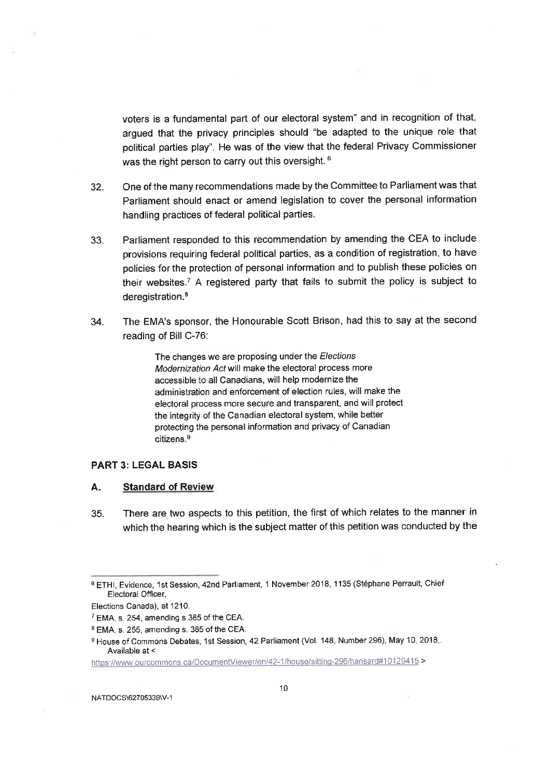voters is a fundamental part of our electoral system" and in recognition of that, argued that the privacy principles should "be adapted to the unique role that political parties play". He was of the view that the federal Privacy Commissioner was the right person to carry out this oversight.<sup>6</sup>

- One of the many recommendations made by the Committee to Parliament was that 32. Parliament should enact or amend legislation to cover the personal information handling practices of federal political parties.
- Parliament responded to this recommendation by amending the CEA to include 33. provisions requiring federal political parties, as a condition of registration, to have policies for the protection of personal information and to publish these policies on their websites.<sup>7</sup> A registered party that fails to submit the policy is subject to deregistration.<sup>8</sup>
- The EMA's sponsor, the Honourable Scott Brison, had this to say at the second 34. reading of Bill C-76:

The changes we are proposing under the Elections Modernization Act will make the electoral process more accessible to all Canadians, will help modernize the administration and enforcement of election rules, will make the electoral process more secure and transparent, and will protect the integrity of the Canadian electoral system, while better protecting the personal information and privacy of Canadian citizens.<sup>9</sup>

#### **PART 3: LEGAL BASIS**

#### А. **Standard of Review**

35. There are two aspects to this petition, the first of which relates to the manner in which the hearing which is the subject matter of this petition was conducted by the

https://www.ourcommons.ca/DocumentViewer/en/42-1/house/sitting-296/hansard#10129415>

<sup>&</sup>lt;sup>6</sup> ETHI. Evidence. 1st Session, 42nd Parliament, 1 November 2018, 1135 (Stéphane Perrault, Chief Electoral Officer,

Elections Canada), at 1210.

<sup>&</sup>lt;sup>7</sup> EMA, s. 254, amending s.385 of the CEA.

<sup>&</sup>lt;sup>8</sup> EMA, s. 255, amending s. 385 of the CEA.

<sup>&</sup>lt;sup>9</sup> House of Commons Debates, 1st Session, 42 Parliament (Vol. 148, Number 296), May 10, 2018,. Available at <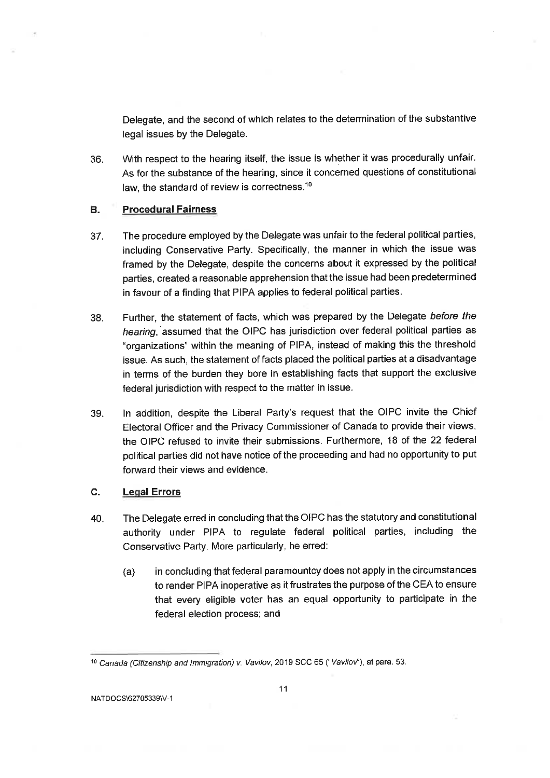Delegate, and the second of which relates to the determination of the substantive legal issues by the Delegate.

With respect to the hearing itself, the issue is whether it was procedurally unfair. 36. As for the substance of the hearing, since it concerned questions of constitutional law, the standard of review is correctness.<sup>10</sup>

#### **Procedural Fairness** B.

- The procedure employed by the Delegate was unfair to the federal political parties,  $37.$ including Conservative Party. Specifically, the manner in which the issue was framed by the Delegate, despite the concerns about it expressed by the political parties, created a reasonable apprehension that the issue had been predetermined in favour of a finding that PIPA applies to federal political parties.
- Further, the statement of facts, which was prepared by the Delegate before the 38. hearing, assumed that the OIPC has jurisdiction over federal political parties as "organizations" within the meaning of PIPA, instead of making this the threshold issue. As such, the statement of facts placed the political parties at a disadvantage in terms of the burden they bore in establishing facts that support the exclusive federal jurisdiction with respect to the matter in issue.
- In addition, despite the Liberal Party's request that the OIPC invite the Chief 39. Electoral Officer and the Privacy Commissioner of Canada to provide their views, the OIPC refused to invite their submissions. Furthermore, 18 of the 22 federal political parties did not have notice of the proceeding and had no opportunity to put forward their views and evidence.

#### C. **Legal Errors**

- The Delegate erred in concluding that the OIPC has the statutory and constitutional 40. authority under PIPA to regulate federal political parties, including the Conservative Party. More particularly, he erred:
	- in concluding that federal paramountcy does not apply in the circumstances  $(a)$ to render PIPA inoperative as it frustrates the purpose of the CEA to ensure that every eligible voter has an equal opportunity to participate in the federal election process; and

<sup>&</sup>lt;sup>10</sup> Canada (Citizenship and Immigration) v. Vavilov, 2019 SCC 65 ("Vavilov"), at para. 53.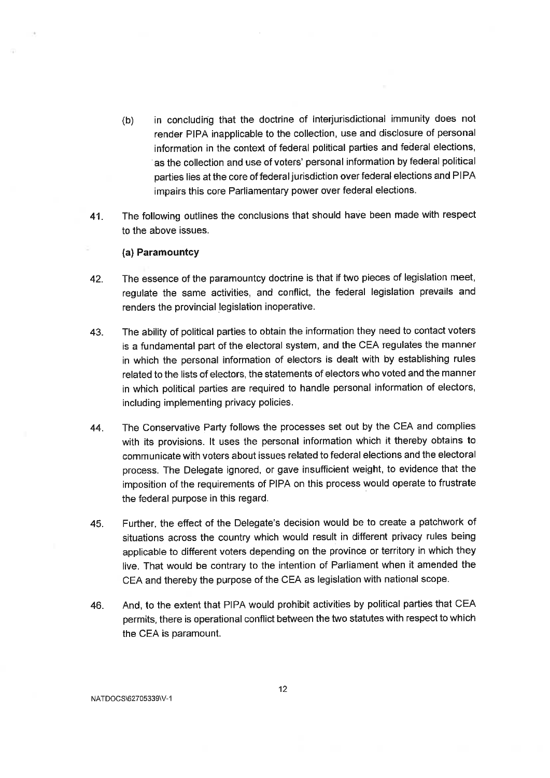- in concluding that the doctrine of interjurisdictional immunity does not  $(b)$ render PIPA inapplicable to the collection, use and disclosure of personal information in the context of federal political parties and federal elections, as the collection and use of voters' personal information by federal political parties lies at the core of federal jurisdiction over federal elections and PIPA impairs this core Parliamentary power over federal elections.
- The following outlines the conclusions that should have been made with respect 41. to the above issues.

#### (a) Paramountcy

- The essence of the paramountcy doctrine is that if two pieces of legislation meet, 42. requlate the same activities, and conflict, the federal legislation prevails and renders the provincial legislation inoperative.
- The ability of political parties to obtain the information they need to contact voters 43. is a fundamental part of the electoral system, and the CEA regulates the manner in which the personal information of electors is dealt with by establishing rules related to the lists of electors, the statements of electors who voted and the manner in which political parties are required to handle personal information of electors, including implementing privacy policies.
- The Conservative Party follows the processes set out by the CEA and complies 44. with its provisions. It uses the personal information which it thereby obtains to. communicate with voters about issues related to federal elections and the electoral process. The Delegate ignored, or gave insufficient weight, to evidence that the imposition of the requirements of PIPA on this process would operate to frustrate the federal purpose in this regard.
- Further, the effect of the Delegate's decision would be to create a patchwork of 45. situations across the country which would result in different privacy rules being applicable to different voters depending on the province or territory in which they live. That would be contrary to the intention of Parliament when it amended the CEA and thereby the purpose of the CEA as legislation with national scope.
- And, to the extent that PIPA would prohibit activities by political parties that CEA 46. permits, there is operational conflict between the two statutes with respect to which the CEA is paramount.

NATDOCS\62705339\V-1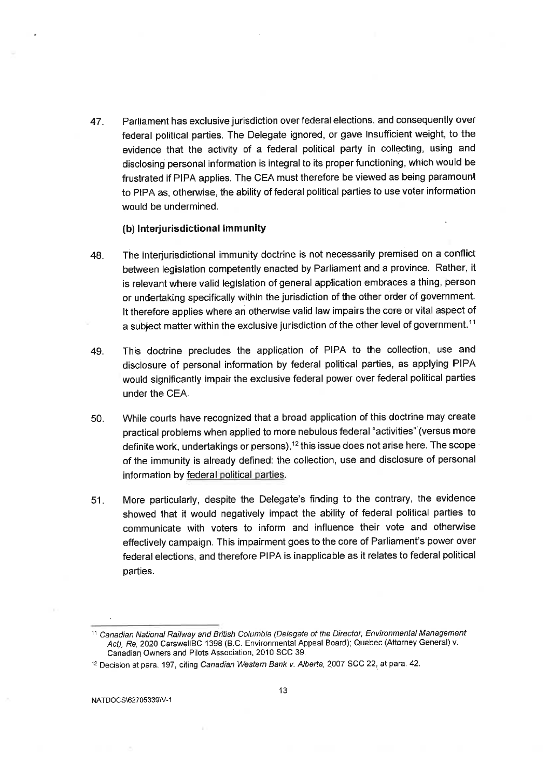Parliament has exclusive jurisdiction over federal elections, and consequently over 47. federal political parties. The Delegate ignored, or gave insufficient weight, to the evidence that the activity of a federal political party in collecting, using and disclosing personal information is integral to its proper functioning, which would be frustrated if PIPA applies. The CEA must therefore be viewed as being paramount to PIPA as, otherwise, the ability of federal political parties to use voter information would be undermined.

#### (b) Interjurisdictional Immunity

- The interjurisdictional immunity doctrine is not necessarily premised on a conflict 48. between legislation competently enacted by Parliament and a province. Rather, it is relevant where valid legislation of general application embraces a thing, person or undertaking specifically within the jurisdiction of the other order of government. It therefore applies where an otherwise valid law impairs the core or vital aspect of a subject matter within the exclusive jurisdiction of the other level of government.<sup>11</sup>
- This doctrine precludes the application of PIPA to the collection, use and 49. disclosure of personal information by federal political parties, as applying PIPA would significantly impair the exclusive federal power over federal political parties under the CEA.
- 50. While courts have recognized that a broad application of this doctrine may create practical problems when applied to more nebulous federal "activities" (versus more definite work, undertakings or persons),<sup>12</sup> this issue does not arise here. The scope of the immunity is already defined: the collection, use and disclosure of personal information by federal political parties.
- More particularly, despite the Delegate's finding to the contrary, the evidence  $51.$ showed that it would negatively impact the ability of federal political parties to communicate with voters to inform and influence their vote and otherwise effectively campaign. This impairment goes to the core of Parliament's power over federal elections, and therefore PIPA is inapplicable as it relates to federal political parties.

<sup>&</sup>lt;sup>11</sup> Canadian National Railway and British Columbia (Delegate of the Director, Environmental Management Act), Re, 2020 CarswellBC 1398 (B.C. Environmental Appeal Board); Quebec (Attorney General) v. Canadian Owners and Pilots Association, 2010 SCC 39.

<sup>&</sup>lt;sup>12</sup> Decision at para. 197, citing Canadian Western Bank v. Alberta, 2007 SCC 22, at para. 42.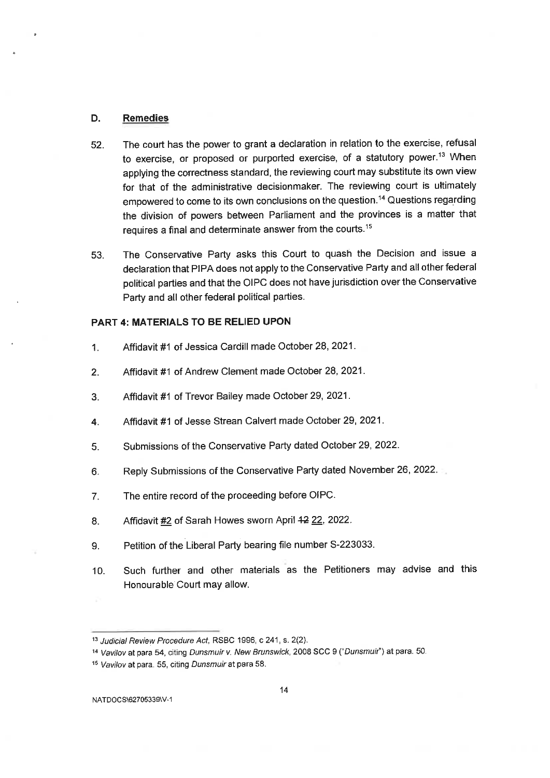#### D. **Remedies**

- The court has the power to grant a declaration in relation to the exercise, refusal 52. to exercise, or proposed or purported exercise, of a statutory power.<sup>13</sup> When applying the correctness standard, the reviewing court may substitute its own view for that of the administrative decisionmaker. The reviewing court is ultimately empowered to come to its own conclusions on the question.<sup>14</sup> Questions regarding the division of powers between Parliament and the provinces is a matter that requires a final and determinate answer from the courts.<sup>15</sup>
- The Conservative Party asks this Court to quash the Decision and issue a 53. declaration that PIPA does not apply to the Conservative Party and all other federal political parties and that the OIPC does not have jurisdiction over the Conservative Party and all other federal political parties.

#### **PART 4: MATERIALS TO BE RELIED UPON**

- Affidavit #1 of Jessica Cardill made October 28, 2021.  $\overline{1}$ .
- Affidavit #1 of Andrew Clement made October 28, 2021.  $2.$
- Affidavit #1 of Trevor Bailey made October 29, 2021. 3.
- Affidavit #1 of Jesse Strean Calvert made October 29, 2021. 4.
- Submissions of the Conservative Party dated October 29, 2022.  $5.$
- Reply Submissions of the Conservative Party dated November 26, 2022. 6.
- The entire record of the proceeding before OIPC.  $7.$
- Affidavit #2 of Sarah Howes sworn April 42 22, 2022. 8.
- Petition of the Liberal Party bearing file number S-223033. 9.
- Such further and other materials as the Petitioners may advise and this  $10.$ Honourable Court may allow.

<sup>&</sup>lt;sup>13</sup> Judicial Review Procedure Act, RSBC 1996, c 241, s. 2(2).

<sup>&</sup>lt;sup>14</sup> Vavilov at para 54, citing Dunsmuir v. New Brunswick, 2008 SCC 9 ("Dunsmuir") at para. 50.

<sup>&</sup>lt;sup>15</sup> Vavilov at para. 55, citing Dunsmuir at para 58.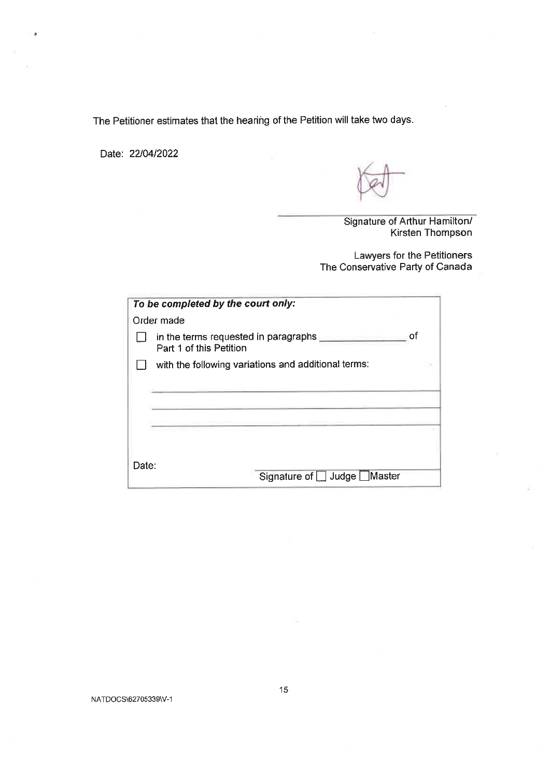The Petitioner estimates that the hearing of the Petition will take two days.

Date: 22/04/2022

Signature of Arthur Hamilton/ Kirsten Thompson

Lawyers for the Petitioners The Conservative Party of Canada

|       | To be completed by the court only:                                    |
|-------|-----------------------------------------------------------------------|
|       | Order made                                                            |
|       | οf<br>in the terms requested in paragraphs<br>Part 1 of this Petition |
|       | with the following variations and additional terms:                   |
|       |                                                                       |
|       |                                                                       |
|       |                                                                       |
|       |                                                                       |
|       |                                                                       |
| Date: | Signature of Judge Master                                             |

NATDOCS\62705339\V-1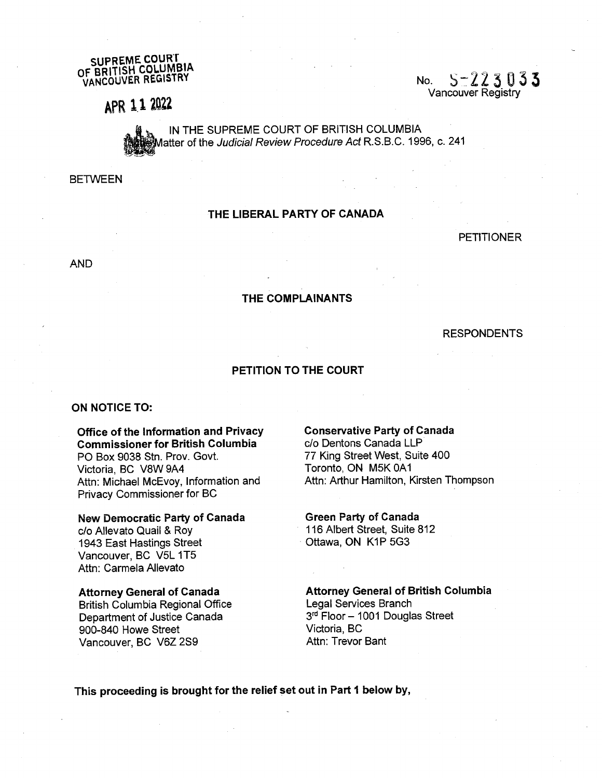SUPREME COURT <sup>O</sup>F BRITISH COLUMBIA <sup>V</sup>ANCOUVER REGISTRY

No.  $5-223033$ Vancouver Registry

## <sup>A</sup>PR 1.1 2022

IN THE SUPREME COURT OF BRITISH COLUMBIA Aatter of the Judicial Review Procedure Act R.S.B.C. 1996, c. 241

**BETWEEN** 

#### THE LIBERAL PARTY OF CANADA

PETITIONER

AND

#### THE COMPLAINANTS

#### RESPONDENTS

PETITION TO THE COURT

#### ON NOTICE TO:

#### Office of the information and Privacy Commissioner for British Columbia

PO Box 9038 Stn. Prov. Govt. Victoria, BC V8W 9A4 <sup>A</sup>ttn: Michael McEvoy, Information and <sup>P</sup>rivacy Commissioner for BC

#### <sup>N</sup>ew Democratic Party of Canada

c/o Allevato Quail & Roy 1943 East Hastings Street Vancouver, BC V5L 1T5 Attn: Carmela Allevato

#### <sup>A</sup>ttorney General of Canada

<sup>B</sup>ritish Columbia Regional Office <sup>D</sup>epartment of Justice Canada 900-840 Howe Street Vancouver, BC V6Z 289

#### Conservative Party of Canada

c/o Dentons Canada LLP 77 King Street West, Suite 400 Toronto, ON M5K 0A1 Attn: Arthur Hamilton, Kirsten Thompson

Green Party of Canada

116 Albert Street, Suite 812 Ottawa, ON K1P 5G3

<sup>A</sup>ttorney General of British Columbia <sup>L</sup>egal Services Branch 3rd Floor - 1001 Douglas Street Victoria, BC Attn: Trevor Bant

This proceeding is brought for the relief set out in Part 1 below by,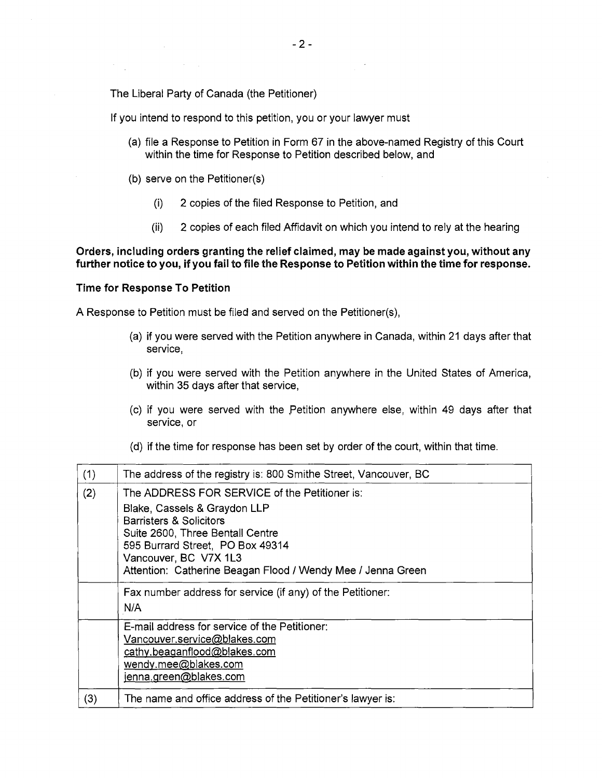<sup>T</sup>he Liberal Party of Canada (the Petitioner)

<sup>I</sup>f you intend to respond to this petition, you or your lawyer must

- (a) file a Response to Petition in Form 67 in the above-named Registry of this Court <sup>w</sup>ithin the time for Response to Petition described below, and
- (b) serve on the Petitioner(s)
	- (1) 2 copies of the filed Response to Petition, and
	- (ii) 2 copies of each filed Affidavit on which you intend to rely at the hearing

#### <sup>O</sup>rders, including orders granting the relief claimed, may be made against you, without any <sup>f</sup>urther notice to you, if you fail to file the Response to Petition within the time for response.

#### <sup>T</sup>ime for Response To Petition

A Response to Petition must be filed and served on the Petitioner(s),

- (a) if you were served with the Petition anywhere in Canada, within 21 days after that <sup>s</sup>ervice,
- (b) if you were served with the Petition anywhere in the United States of America, <sup>w</sup>ithin 35 days after that service,
- (c) if you were served with the petition anywhere else, within 49 days after that <sup>s</sup>ervice, or
- (d) if the time for response has been set by order of the court, within that time.

| (1) | The address of the registry is: 800 Smithe Street, Vancouver, BC                                                                                                                                                                                                         |
|-----|--------------------------------------------------------------------------------------------------------------------------------------------------------------------------------------------------------------------------------------------------------------------------|
| (2) | The ADDRESS FOR SERVICE of the Petitioner is:<br>Blake, Cassels & Graydon LLP<br>Barristers & Solicitors<br>Suite 2600, Three Bentall Centre<br>595 Burrard Street, PO Box 49314<br>Vancouver, BC V7X 1L3<br>Attention: Catherine Beagan Flood / Wendy Mee / Jenna Green |
|     | Fax number address for service (if any) of the Petitioner:<br>N/A                                                                                                                                                                                                        |
|     | E-mail address for service of the Petitioner:<br>Vancouver.service@blakes.com<br>cathy.beaganflood@blakes.com<br>wendy.mee@blakes.com<br>jenna.green@blakes.com                                                                                                          |
| (3) | The name and office address of the Petitioner's lawyer is:                                                                                                                                                                                                               |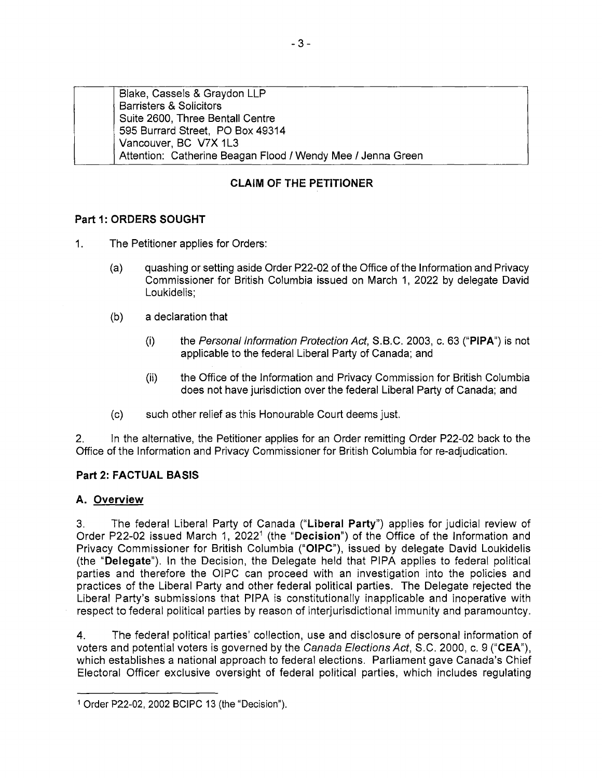| Blake, Cassels & Graydon LLP                                |
|-------------------------------------------------------------|
| <b>Barristers &amp; Solicitors</b>                          |
| Suite 2600, Three Bentall Centre                            |
| 595 Burrard Street, PO Box 49314                            |
| Vancouver, BC V7X 1L3                                       |
| Attention: Catherine Beagan Flood / Wendy Mee / Jenna Green |
|                                                             |

### CLAIM OF THE PETITIONER

### Part 1: ORDERS SOUGHT

- 1. The Petitioner applies for Orders:
	- (a) quashing or setting aside Order P22-02 of the Office of the Information and Privacy <sup>C</sup>ommissioner for British Columbia issued on March 1, 2022 by delegate David Loukidelis;
	- (b) a declaration that
		- (i) the Personal Information Protection Act, S.B.C. 2003, c. 63 ("PIPA") is not <sup>a</sup>pplicable to the federal Liberal Party of Canada; and
		- (ii) the Office of the Information and Privacy Commission for British Columbia <sup>d</sup>oes not have jurisdiction over the federal Liberal Party of Canada; and
	- (c) such other relief as this Honourable Court deems just.

<sup>2</sup>. In the alternative, the Petitioner applies for an Order remitting Order P22-02 back to the <sup>O</sup>ffice of the Information and Privacy Commissioner for British Columbia for re-adjudication.

### Part 2: FACTUAL BASIS

### A. Overvie<sup>w</sup>

<sup>3</sup>. The federal Liberal Party of Canada ('Liberal Party") applies for judicial review of Order P22-02 issued March 1, 2022<sup>1</sup> (the "Decision") of the Office of the Information and <sup>P</sup>rivacy Commissioner for British Columbia ("OIPC"), issued by delegate David Loukidelis (the "Delegate"). In the Decision, the Delegate held that PIPA applies to federal political <sup>p</sup>arties and therefore the OIPC can proceed with an investigation into the policies and <sup>p</sup>ractices of the Liberal Party and other federal political parties. The Delegate rejected the <sup>L</sup>iberal Party's submissions that PIPA is constitutionally inapplicable and inoperative with <sup>r</sup>espect to federal political parties by reason of interjurisdictional immunity and paramountcy.

<sup>4</sup>. The federal political parties' collection, use and disclosure of personal information of <sup>v</sup>oters and potential voters is governed by the Canada Elections Act, S.C. 2000, c. 9 ("CEA"), <sup>w</sup>hich establishes a national approach to federal elections. Parliament gave Canada's Chief <sup>E</sup>lectoral Officer exclusive oversight of federal political parties, which includes regulating

<sup>1</sup> Order P22-02, 2002 BCIPC 13 (the "Decision").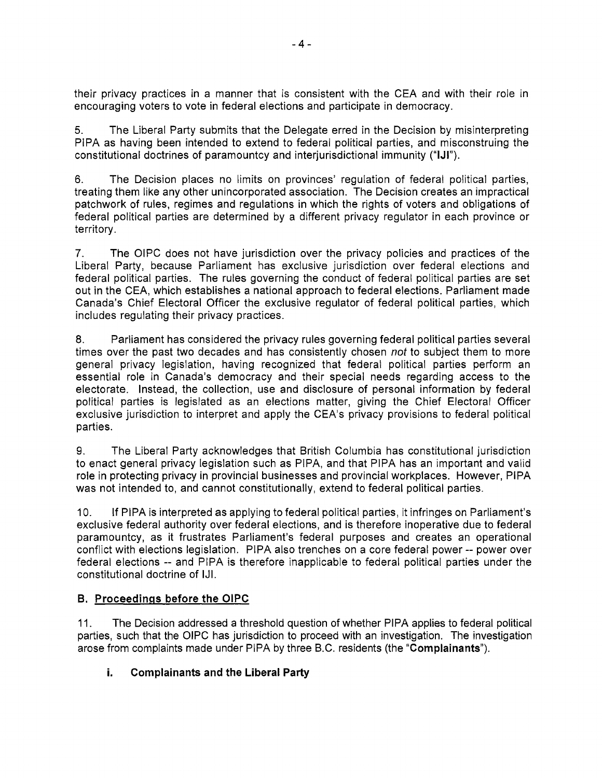<sup>t</sup>heir privacy practices in a manner that is consistent with the CEA and with their role in <sup>e</sup>ncouraging voters to vote in federal elections and participate in democracy.

<sup>5</sup>. The Liberal Party submits that the Delegate erred in the Decision by misinterpreting <sup>P</sup>IPA as having been intended to extend to federal political parties, and misconstruing the constitutional doctrines of paramountcy and interjurisdictional immunity ("IJI").

<sup>6</sup>. The Decision places no limits on provinces' regulation of federal political parties, <sup>t</sup>reating them like any other unincorporated association. The Decision creates an impractical <sup>p</sup>atchwork of rules, regimes and regulations in which the rights of voters and obligations of <sup>f</sup>ederal political parties are determined by a different privacy regulator in each province or territory.

<sup>7</sup>. The OIPC does not have jurisdiction over the privacy policies and practices of the <sup>L</sup>iberal Party, because Parliament has exclusive jurisdiction over federal elections and <sup>f</sup>ederal political parties. The rules governing the conduct of federal political parties are set <sup>o</sup>ut in the CEA, which establishes a national approach to federal elections. Parliament made <sup>C</sup>anada's Chief Electoral Officer the exclusive regulator of federal political parties, which includes regulating their privacy practices.

<sup>8</sup>. Parliament has considered the privacy rules governing federal political parties several times over the past two decades and has consistently chosen not to subject them to more <sup>g</sup>eneral privacy legislation, having recognized that federal political parties perform an <sup>e</sup>ssential role in Canada's democracy and their special needs regarding access to the <sup>e</sup>lectorate. Instead, the collection, use and disclosure of personal information by federal <sup>p</sup>olitical parties is legislated as an elections matter, giving the Chief Electoral Officer <sup>e</sup>xclusive jurisdiction to interpret and apply the CEA's privacy provisions to federal political parties.

<sup>9</sup>. The Liberal Party acknowledges that British Columbia has constitutional jurisdiction <sup>t</sup>o enact general privacy legislation such as PIPA, and that PIPA has an important and valid <sup>r</sup>ole in protecting privacy in provincial businesses and provincial workplaces. However, PIPA <sup>w</sup>as not intended to, and cannot constitutionally, extend to federal political parties.

<sup>1</sup>0. If PIPA is interpreted as applying to federal political parties, it infringes on Parliament's <sup>e</sup>xclusive federal authority over federal elections, and is therefore inoperative due to federal <sup>p</sup>aramountcy, as it frustrates Parliament's federal purposes and creates an operational <sup>c</sup>onflict with elections legislation. PIPA also trenches on a core federal power -- power over federal elections -- and PIPA is therefore inapplicable to federal political parties under the <sup>c</sup>onstitutional doctrine of IJI.

### <sup>B</sup>. Proceeding<sup>s</sup> befor<sup>e</sup> <sup>t</sup>h<sup>e</sup> OIPC

 $11.$ The Decision addressed a threshold question of whether PIPA applies to federal political <sup>p</sup>arties, such that the OIPC has jurisdiction to proceed with an investigation. The investigation <sup>a</sup>rose from complaints made under PIPA by three B.C. residents (the "Complainants").

### i. Complainants and the Liberal Party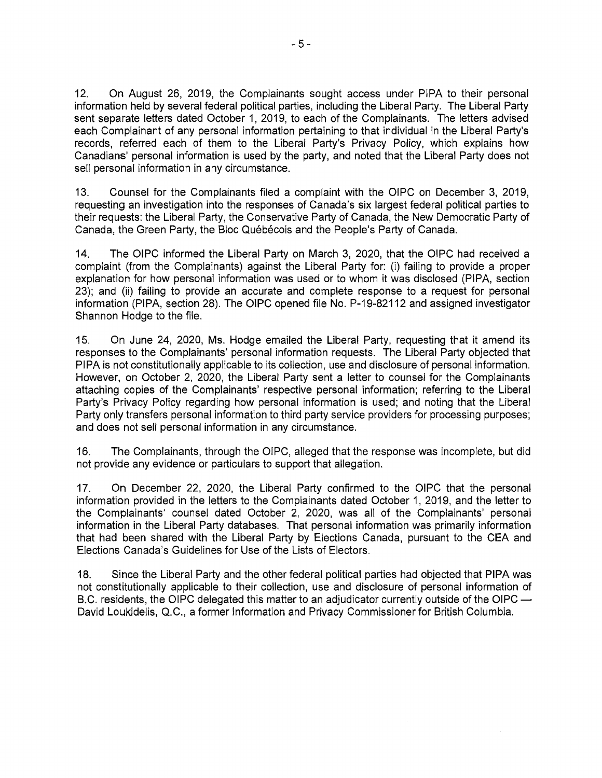12. On August 26, 2019, the Complainants sought access under PIPA to their personal information held by several federal political parties, including the Liberal Party. The Liberal Party <sup>s</sup>ent separate letters dated October 1, 2019, to each of the Complainants. The letters advised <sup>e</sup>ach Complainant of any personal information pertaining to that individual in the Liberal Party's <sup>r</sup>ecords, referred each of them to the Liberal Party's Privacy Policy, which explains how <sup>C</sup>anadians' personal information is used by the party, and noted that the Liberal Party does not <sup>s</sup>ell personal information in any circumstance.

<sup>1</sup>3. Counsel for the Complainants filed a complaint with the OIPC on December 3, 2019, <sup>r</sup>equesting an investigation into the responses of Canada's six largest federal political parties to <sup>t</sup>heir requests: the Liberal Party, the Conservative Party of Canada, the New Democratic Party of Canada, the Green Party, the Bloc Québécois and the People's Party of Canada.

<sup>1</sup>4. The OIPC informed the Liberal Party on March 3, 2020, that the OIPC had received <sup>a</sup> <sup>c</sup>omplaint (from the Complainants) against the Liberal Party for: (I) failing to provide a proper <sup>e</sup>xplanation for how personal information was used or to whom it was disclosed (PIPA, section <sup>2</sup>3); and (ii) failing to provide an accurate and complete response to a request for personal <sup>i</sup>nformation (PIPA, section 28). The OIPC opened file No. P-19-82112 and assigned investigator Shannon Hodge to the file.

<sup>1</sup>5. On June 24, 2020, Ms. Hodge emailed the Liberal Party, requesting that it amend its <sup>r</sup>esponses to the Complainants' personal information requests. The Liberal Party objected that <sup>P</sup>IPA is not constitutionally applicable to its collection, use and disclosure of personal information. <sup>H</sup>owever, on October 2, 2020, the Liberal Party sent a letter to counsel for the Complainants <sup>a</sup>ttaching copies of the Complainants' respective personal information; referring to the Liberal <sup>P</sup>arty's Privacy Policy regarding how personal information is used; and noting that the Liberal <sup>P</sup>arty only transfers personal information to third party service providers for processing purposes; <sup>a</sup>nd does not sell personal information in any circumstance.

<sup>1</sup>6. The Complainants, through the OIPC, alleged that the response was incomplete, but did <sup>n</sup>ot provide any evidence or particulars to support that allegation.

<sup>1</sup>7. On December 22, 2020, the Liberal Party confirmed to the OIPC that the personal i nformation provided in the letters to the Complainants dated October 1, 2019, and the letter to <sup>t</sup>he Complainants' counsel dated October 2, 2020, was all of the Complainants' personal i nformation in the Liberal Party databases. That personal information was primarily information <sup>t</sup>hat had been shared with the Liberal Party by Elections Canada, pursuant to the CEA and Elections Canada's Guidelines for Use of the Lists of Electors.

<sup>1</sup>8. Since the Liberal Party and the other federal political parties had objected that P1PA was <sup>n</sup>ot constitutionally applicable to their collection, use and disclosure of personal information of <sup>B</sup>.C. residents, the OIPC delegated this matter to an adjudicator currently outside of the OIPC — <sup>D</sup>avid Loukidelis, Q.C., a former Information and Privacy Commissioner for British Columbia.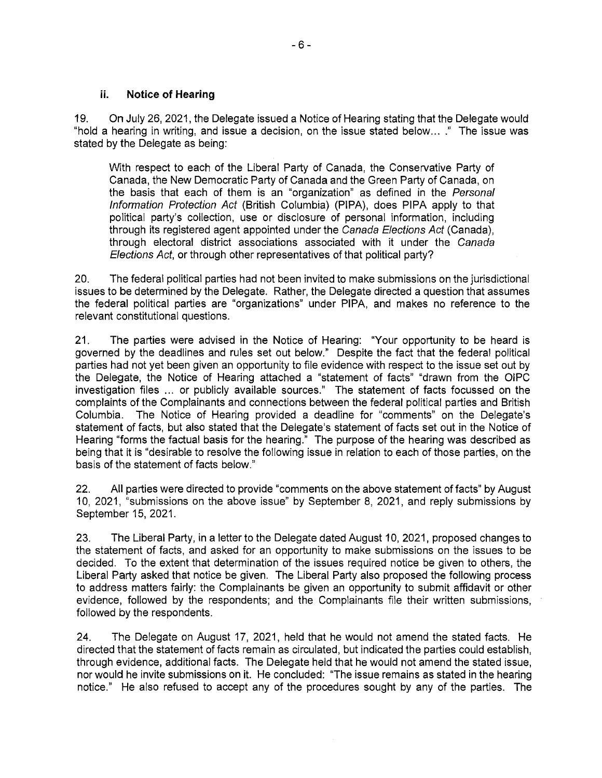#### ii. Notice of Hearing

<sup>1</sup>9. On July 26, 2021, the Delegate issued a Notice of Hearing stating that the Delegate would "hold a hearing in writing, and issue a decision, on the issue stated below... ." The issue was <sup>s</sup>tated by the Delegate as being:

<sup>W</sup>ith respect to each of the Liberal Party of Canada, the Conservative Party of <sup>C</sup>anada, the New Democratic Party of Canada and the Green Party of Canada, on the basis that each of them is an "organization" as defined in the Personal Information Protection Act (British Columbia) (PIPA), does PIPA apply to that <sup>p</sup>olitical party's collection, use or disclosure of personal information, including <sup>t</sup>hrough its registered agent appointed under the Canada Elections Act (Canada), <sup>t</sup>hrough electoral district associations associated with it under the Canada <sup>E</sup>lections Act, or through other representatives of that political party?

<sup>2</sup>0. The federal political parties had not been invited to make submissions on the jurisdictional <sup>i</sup>ssues to be determined by the Delegate. Rather, the Delegate directed a question that assumes <sup>t</sup>he federal political parties are "organizations" under PIPA, and makes no reference to the <sup>r</sup>elevant constitutional questions.

<sup>2</sup>1. The parties were advised in the Notice of Hearing: "Your opportunity to be heard is <sup>g</sup>overned by the deadlines and rules set out below." Despite the fact that the federal political <sup>p</sup>arties had not yet been given an opportunity to file evidence with respect to the issue set out by <sup>t</sup>he Delegate, the Notice of Hearing attached a "statement of facts" "drawn from the 01PC i nvestigation files ... or publicly available sources." The statement of facts focussed on the <sup>c</sup>omplaints of the Complainants and connections between the federal political parties and British <sup>C</sup>olumbia. The Notice of Hearing provided a deadline for "comments" on the Delegate's <sup>s</sup>tatement of facts, but also stated that the Delegate's statement of facts set out in the Notice of <sup>H</sup>earing "forms the factual basis for the hearing." The purpose of the hearing was described as <sup>b</sup>eing that it is "desirable to resolve the following issue in relation to each of those parties, on the basis of the statement of facts below."

<sup>2</sup>2. All parties were directed to provide "comments on the above statement of facts" by August <sup>1</sup>0, 2021, "submissions on the above issue" by September 8, 2021, and reply submissions by September 15, 2021.

<sup>2</sup>3. The Liberal Party, in a letter to the Delegate dated August 10, 2021, proposed changes to <sup>t</sup>he statement of facts, and asked for an opportunity to make submissions on the issues to be decided. To the extent that determination of the issues required notice be given to others, the <sup>L</sup>iberal Party asked that notice be given. The Liberal Party also proposed the following process <sup>t</sup>o address matters fairly: the Complainants be given an opportunity to submit affidavit or other <sup>e</sup>vidence, followed by the respondents; and the Complainants file their written submissions, followed by the respondents.

<sup>2</sup>4. The Delegate on August 17, 2021, held that he would not amend the stated facts. He directed that the statement of facts remain as circulated, but indicated the parties could establish, <sup>t</sup>hrough evidence, additional facts. The Delegate held that he would not amend the stated issue, <sup>n</sup>or would he invite submissions on it. He concluded: "The issue remains as stated in the hearing notice." He also refused to accept any of the procedures sought by any of the parties. The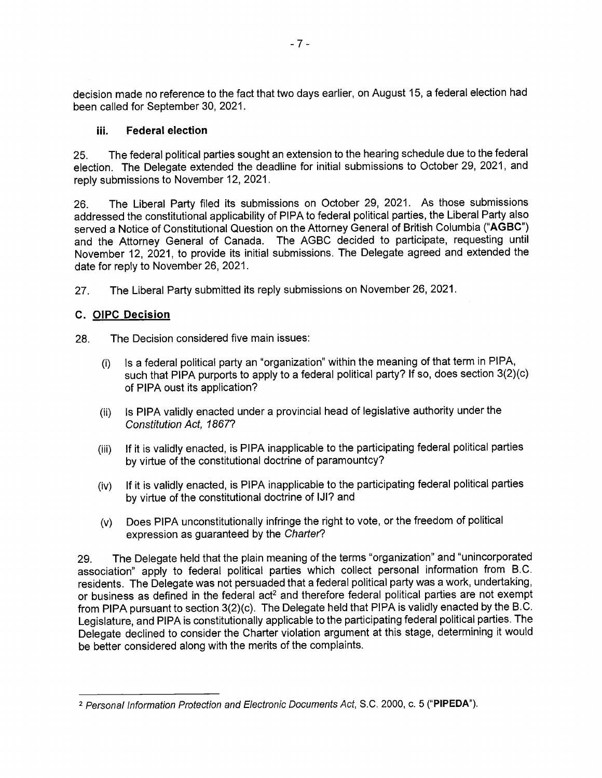decision made no reference to the fact that two days earlier, on August 15, a federal election had been called for September 30, 2021.

#### iii. Federal election

<sup>2</sup>5. The federal political parties sought an extension to the hearing schedule due to the federal <sup>e</sup>lection. The Delegate extended the deadline for initial submissions to October 29, 2021, and <sup>r</sup>eply submissions to November 12, 2021.

<sup>2</sup>6. The Liberal Party filed its submissions on October 29, 2021. As those submissions <sup>a</sup>ddressed the constitutional applicability of PIPA to federal political parties, the Liberal Party also <sup>s</sup>erved a Notice of Constitutional Question on the Attorney General of British Columbia ("AGBC") <sup>a</sup>nd the Attorney General of Canada. The AGBC decided to participate, requesting until <sup>N</sup>ovember 12, 2021, to provide its initial submissions. The Delegate agreed and extended the date for reply to November 26, 2021.

<sup>2</sup>7. The Liberal Party submitted its reply submissions on November 26, 2021.

#### C. 0IPC Decisio<sup>n</sup>

28. The Decision considered five main issues:

- (i) is a federal political party an "organization" within the meaning of that term in PIPA, <sup>s</sup>uch that PIPA purports to apply to a federal political party? If so, does section 3(2)(c) <sup>o</sup>f PIPA oust its application?
- (ii) Is PIPA validly enacted under a provincial head of legislative authority under the Constitution Act, 1867?
- (iii) If it is validly enacted, is PIPA inapplicable to the participating federal political parties by virtue of the constitutional doctrine of paramountcy?
- (iv) If it is validly enacted, is PIPA inapplicable to the participating federal political parties by virtue of the constitutional doctrine of IJI? and
- (v) Does PIPA unconstitutionally infringe the right to vote, or the freedom of political expression as guaranteed by the Charter?

<sup>2</sup>9. The Delegate held that the plain meaning of the terms "organization" and "unincorporated <sup>a</sup>ssociation" apply to federal political parties which collect personal information from B.C. <sup>r</sup>esidents. The Delegate was not persuaded that a federal political party was <sup>a</sup>work, undertaking, or business as defined in the federal act<sup>2</sup> and therefore federal political parties are not exempt <sup>f</sup>rom PIPA pursuant to section 3(2)(c). The Delegate held that PIPA is validly enacted by the B.C. <sup>L</sup>egislature, and PIPA is constitutionally applicable to the participating federal political parties. The <sup>D</sup>elegate declined to consider the Charter violation argument at this stage, determining it would be better considered along with the merits of the complaints.

<sup>&</sup>lt;sup>2</sup> Personal Information Protection and Electronic Documents Act, S.C. 2000, c. 5 ("**PIPEDA**").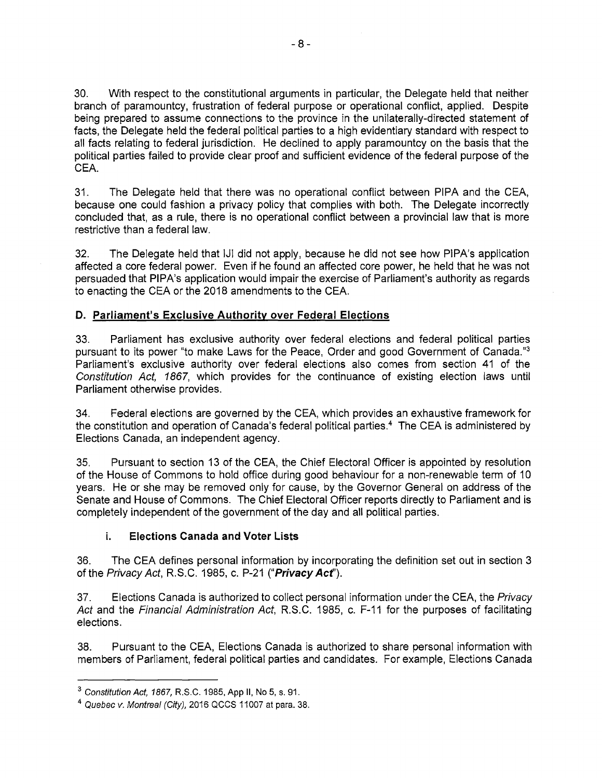<sup>3</sup>0. With respect to the constitutional arguments in particular, the Delegate held that neither <sup>b</sup>ranch of paramountcy, frustration of federal purpose or operational conflict, applied. Despite <sup>b</sup>eing prepared to assume connections to the province in the unilaterally-directed statement of <sup>f</sup>acts, the Delegate held the federal political parties to a high evidentiary standard with respect to <sup>a</sup>ll facts relating to federal jurisdiction. He declined to apply paramountcy on the basis that the <sup>p</sup>olitical parties failed to provide clear proof and sufficient evidence of the federal purpose of the CEA.

31. The Delegate held that there was no operational conflict between PIPA and the CEA, <sup>b</sup>ecause one could fashion a privacy policy that complies with both. The Delegate incorrectly <sup>c</sup>oncluded that, as <sup>a</sup>rule, there is no operational conflict between a provincial law that is more <sup>r</sup>estrictive than a federal law.

<sup>3</sup>2. The Delegate held that 1J1 did not apply, because he did not see how PIPA's application <sup>a</sup>ffected a core federal power. Even if he found an affected core power, he held that he was not <sup>p</sup>ersuaded that PIPA's application would impair the exercise of Parliament's authority as regards <sup>t</sup>o enacting the CEA or the 2018 amendments to the CEA.

#### D. Parliament's Exclusive Authority over Federal Elections

<sup>3</sup>3. Parliament has exclusive authority over federal elections and federal political parties pursuant to its power "to make Laws for the Peace, Order and good Government of Canada."<sup>3</sup> <sup>P</sup>arliament's exclusive authority over federal elections also comes from section 41 of the <sup>C</sup>onstitution Act, 1867, which provides for the continuance of existing election laws until <sup>P</sup>arliament otherwise provides.

<sup>3</sup>4. Federal elections are governed by the CEA, which provides an exhaustive framework for the constitution and operation of Canada's federal political parties.<sup>4</sup> The CEA is administered by Elections Canada, an independent agency.

<sup>3</sup>5. Pursuant to section 13 of the CEA, the Chief Electoral Officer is appointed by resolution <sup>o</sup>f the House of Commons to hold office during good behaviour for a non-renewable term of 10 <sup>y</sup>ears. He or she may be removed only for cause, by the Governor General on address of the <sup>S</sup>enate and House of Commons. The Chief Electoral Officer reports directly to Parliament and is <sup>c</sup>ompletely independent of the government of the day and all political parties.

#### i. Elections Canada and Voter Lists

<sup>3</sup>6. The CEA defines personal information by incorporating the definition set out in section <sup>3</sup> of the Privacy Act, R.S.C. 1985, c. P-21 ("Privacy Act").

37. Elections Canada is authorized to collect personal information under the CEA, the Privacy Act and the Financial Administration Act, R.S.C. 1985, c. F-11 for the purposes of facilitating <sup>e</sup>lections.

38. Pursuant to the CEA, Elections Canada is authorized to share personal information with <sup>m</sup>embers of Parliament, federal political parties and candidates. For example, Elections Canada

<sup>3</sup> Constitution Act, 1867, R.S.C. 1985, App II, No 5, s. 91.

<sup>4</sup> Quebec v. Montreal (City), 2016 QCCS 11007 at para. 38.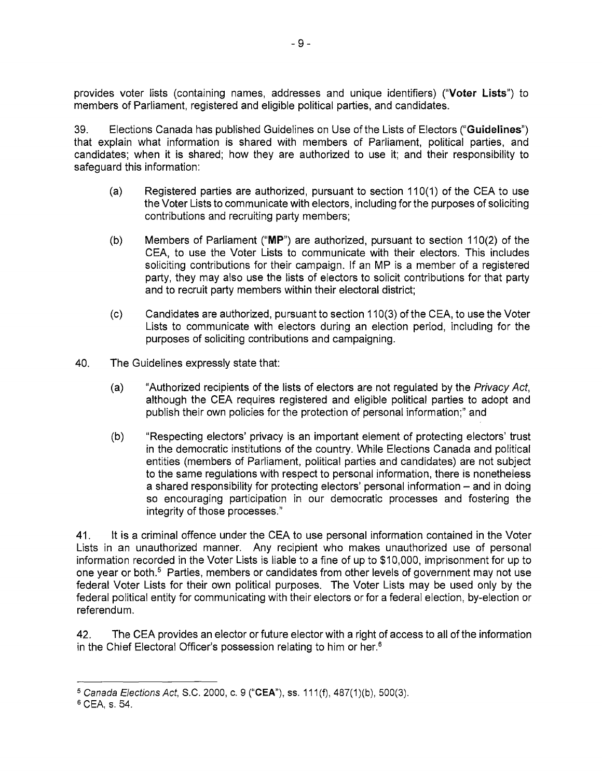provides voter lists (containing names, addresses and unique identifiers) ("Voter Lists") to <sup>m</sup>embers of Parliament, registered and eligible political parties, and candidates.

<sup>3</sup>9. Elections Canada has published Guidelines on Use of the Lists of Electors ("Guidelines") <sup>t</sup>hat explain what information is shared with members of Parliament, political parties, and <sup>c</sup>andidates; when it is shared; how they are authorized to use it; and their responsibility to <sup>s</sup>afeguard this information:

- (a) Registered parties are authorized, pursuant to section 110(1) of the CEA to use <sup>t</sup>he Voter Lists to communicate with electors, including for the purposes of soliciting <sup>c</sup>ontributions and recruiting party members;
- (b) Members of Parliament ("MP") are authorized, pursuant to section 110(2) of the <sup>C</sup>EA, to use the Voter Lists to communicate with their electors. This includes <sup>s</sup>oliciting contributions for their campaign. If an MP is a member of a registered <sup>p</sup>arty, they may also use the lists of electors to solicit contributions for that party <sup>a</sup>nd to recruit party members within their electoral district;
- (c) Candidates are authorized, pursuant to section 110(3) of the CEA, to use the Voter <sup>L</sup>ists to communicate with electors during an election period, including for the <sup>p</sup>urposes of soliciting contributions and campaigning.
- 40. The Guidelines expressly state that:
	- (a) "Authorized recipients of the lists of electors are not regulated by the *Privacy Act*, <sup>a</sup>lthough the CEA requires registered and eligible political parties to adopt and <sup>p</sup>ublish their own policies for the protection of personal information;" and
	- (b) "Respecting electors' privacy is an important element of protecting electors' trust in the democratic institutions of the country. While Elections Canada and political <sup>e</sup>ntities (members of Parliament, political parties and candidates) are not subject <sup>t</sup>o the same regulations with respect to personal information, there is nonetheless <sup>a</sup> shared responsibility for protecting electors' personal information — and in doing so encouraging participation in our democratic processes and fostering the iintegrity of those processes."

41. It is a criminal offence under the CEA to use personal information contained in the Voter <sup>L</sup>ists in an unauthorized manner. Any recipient who makes unauthorized use of personal i nformation recorded in the Voter Lists is liable to a fine of up to \$10,000, imprisonment for up to one year or both.<sup>5</sup> Parties, members or candidates from other levels of government may not use <sup>f</sup>ederal Voter Lists for their own political purposes. The Voter Lists may be used only by the <sup>f</sup>ederal political entity for communicating with their electors or for a federal election, by-election or <sup>r</sup>eferendum.

<sup>4</sup>2. The CEA provides an elector or future elector with a right of access to all of the information in the Chief Electoral Officer's possession relating to him or her.<sup>6</sup>

 $5$  Canada Elections Act, S.C. 2000, c. 9 ("CEA"), ss. 111(f), 487(1)(b), 500(3).

<sup>6</sup> CEA, s. 54.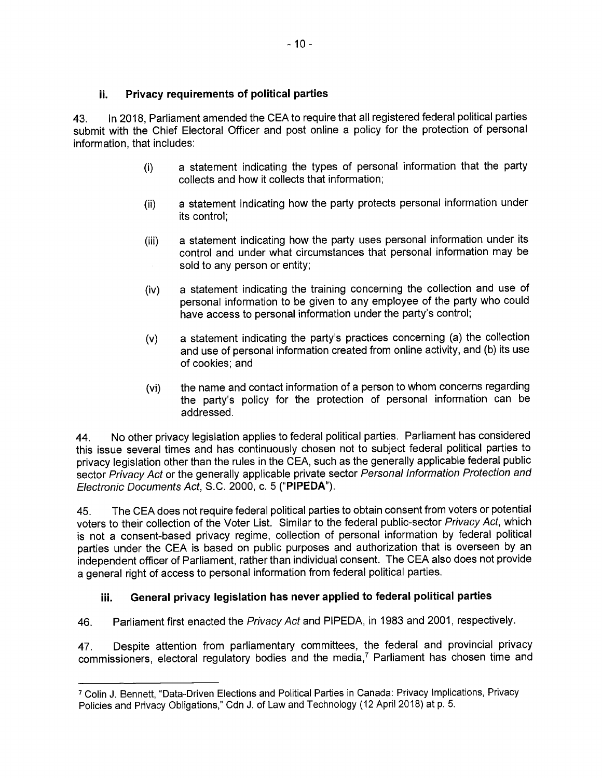<sup>4</sup>3. In 2018, Parliament amended the CEA to require that all registered federal political parties <sup>s</sup>ubmit with the Chief Electoral Officer and post online a policy for the protection of personal information, that includes:

- (i) a statement indicating the types of personal information that the party <sup>c</sup>ollects and how it collects that information;
- (ii) a statement indicating how the party protects personal information under its control;
- (iii) a statement indicating how the party uses personal information under its <sup>c</sup>ontrol and under what circumstances that personal information may be <sup>s</sup>old to any person or entity;
- (iv) a statement indicating the training concerning the collection and use of <sup>p</sup>ersonal information to be given to any employee of the party who could have access to personal information under the party's control;
- (v) a statement indicating the party's practices concerning (a) the collection <sup>a</sup>nd use of personal information created from online activity, and (b) its use <sup>o</sup>f cookies; and
- (vi) the name and contact information of a person to whom concerns regarding <sup>t</sup>he party's policy for the protection of personal information can be <sup>a</sup>ddressed.

<sup>4</sup>4. No other privacy legislation applies to federal political parties. Parliament has considered <sup>t</sup>his issue several times and has continuously chosen not to subject federal political parties to <sup>p</sup>rivacy legislation other than the rules in the CEA, such as the generally applicable federal public sector Privacy Act or the generally applicable private sector Personal Information Protection and Electronic Documents Act, S.C. 2000, c. 5 ("PIPEDA").

<sup>4</sup>5. The CEA does not require federal political parties to obtain consent from voters or potential <sup>v</sup>oters to their collection of the Voter List. Similar to the federal public-sector Privacy Act, which <sup>i</sup>s not a consent-based privacy regime, collection of personal information by federal political <sup>p</sup>arties under the CEA is based on public purposes and authorization that is overseen by an i ndependent officer of Parliament, rather than individual consent. The CEA also does not provide <sup>a</sup> general right of access to personal information from federal political parties.

### <sup>i</sup>ii. General privacy legislation has never applied to federal political parties

46. Parliament first enacted the Privacy Act and PIPEDA, in 1983 and 2001, respectively.

<sup>4</sup>7. Despite attention from parliamentary committees, the federal and provincial privacy commissioners, electoral regulatory bodies and the media,<sup>7</sup> Parliament has chosen time and

<sup>C</sup>olin J. Bennett, "Data-Driven Elections and Political Parties in Canada: Privacy Implications, Privacy Policies and Privacy Obligations," Cdn J. of Law and Technology (12 April 2018) at p. 5.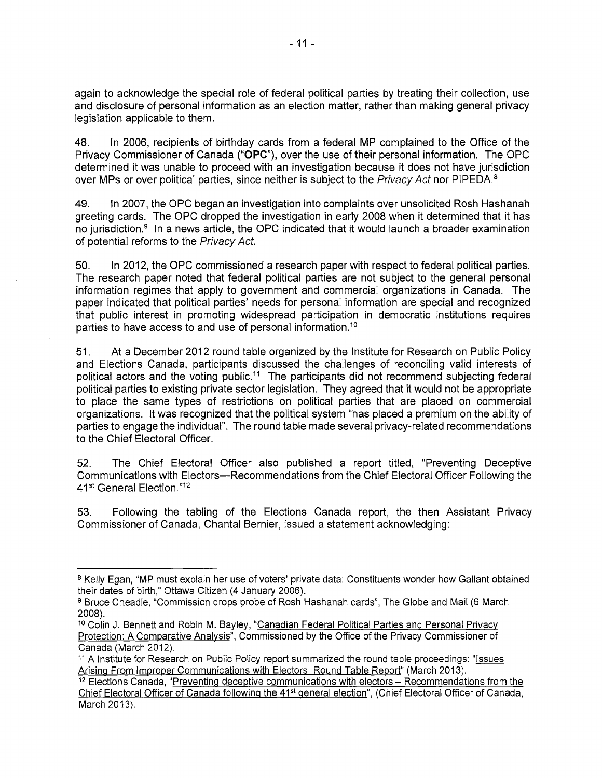again to acknowledge the special role of federal political parties by treating their collection, use <sup>a</sup>nd disclosure of personal information as an election matter, rather than making general privacy legislation applicable to them.

<sup>4</sup>8. In 2006, recipients of birthday cards from a federal MP complained to the Office of the <sup>P</sup>rivacy Commissioner of Canada ("OPC"), over the use of their personal information. The OPC <sup>d</sup>etermined it was unable to proceed with an investigation because it does not have jurisdiction over MPs or over political parties, since neither is subject to the *Privacy Act* nor PIPEDA.<sup>8</sup>

<sup>4</sup>9. In 2007, the OPC began an investigation into complaints over unsolicited Rosh Hashanah <sup>g</sup>reeting cards. The OPC dropped the investigation in early 2008 when it determined that it has no jurisdiction.<sup>9</sup> In a news article, the OPC indicated that it would launch a broader examination <sup>o</sup>f potential reforms to the Privacy Act.

<sup>5</sup>0. In 2012, the OPC commissioned a research paper with respect to federal political parties. <sup>T</sup>he research paper noted that federal political parties are not subject to the general personal <sup>i</sup>nformation regimes that apply to government and commercial organizations in Canada. The <sup>p</sup>aper indicated that political parties' needs for personal information are special and recognized <sup>t</sup>hat public interest in promoting widespread participation in democratic institutions requires parties to have access to and use of personal information.<sup>10</sup>

<sup>5</sup>1. At a December 2012 round table organized by the Institute for Research on Public Policy <sup>a</sup>nd Elections Canada, participants discussed the challenges of reconciling valid interests of political actors and the voting public.<sup>11</sup> The participants did not recommend subjecting federal <sup>p</sup>olitical parties to existing private sector legislation. They agreed that it would not be appropriate <sup>t</sup>o place the same types of restrictions on political parties that are placed on commercial <sup>o</sup>rganizations. It was recognized that the political system "has placed a premium on the ability of <sup>p</sup>arties to engage the individual". The round table made several privacy-related recommendations to the Chief Electoral Officer.

<sup>5</sup>2. The Chief Electoral Officer also published a report titled, "Preventing Deceptive <sup>C</sup>ommunications with Electors—Recommendations from the Chief Electoral Officer Following the 41st General Election."12

<sup>5</sup>3. Following the tabling of the Elections Canada report, the then Assistant Privacy <sup>C</sup>ommissioner of Canada, Chantal Bernier, issued a statement acknowledging:

<sup>&</sup>lt;sup>8</sup> Kelly Egan, "MP must explain her use of voters' private data: Constituents wonder how Gallant obtained <sup>t</sup>heir dates of birth," Ottawa Citizen (4 January 2006).

<sup>9</sup> Bruce Cheadle, "Commission drops probe of Rosh Hashanah cards", The Globe and Mail (6 March 2008).

<sup>&</sup>lt;sup>10</sup> Colin J. Bennett and Robin M. Bayley, "Canadian Federal Political Parties and Personal Privacy <sup>P</sup>rotection: <sup>A</sup> <sup>C</sup>omparativ<sup>e</sup> <sup>A</sup>naly<sup>s</sup>is", Commissioned by the Office of the Privacy Commissioner of Canada (March 2012).

<sup>&</sup>lt;sup>11</sup> A Institute for Research on Public Policy report summarized the round table proceedings: "<u>Issues</u> Arising From Improper Communications with Electors: Round Table Report" (March 2013).

<sup>&</sup>lt;sup>12</sup> Elections Canada, "Preventing deceptive communications with electors - Recommendations from the Chief Electoral Officer of Canada following the 41<sup>st</sup> general election", (Chief Electoral Officer of Canada, March 2013).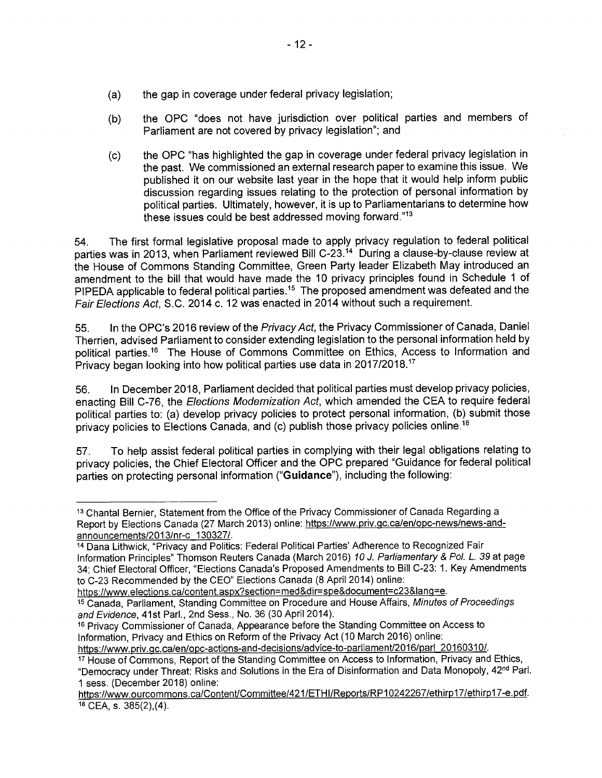- (a) the gap in coverage under federal privacy legislation;
- (b) the OPC "does not have jurisdiction over political parties and members of Parliament are not covered by privacy legislation"; and
- (c) the OPC "has highlighted the gap in coverage under federal privacy legislation in the past. We commissioned an external research paper to examine this issue. We published it on our website last year in the hope that it would help inform public discussion regarding issues relating to the protection of personal information by political parties. Ultimately, however, it is up to Parliamentarians to determine how these issues could be best addressed moving forward."13

54. The first formal legislative proposal made to apply privacy regulation to federal political parties was in 2013, when Parliament reviewed Bill C-23.<sup>14</sup> During a clause-by-clause review at the House of Commons Standing Committee, Green Party leader Elizabeth May introduced an amendment to the bill that would have made the 10 privacy principles found in Schedule 1 of PIPEDA applicable to federal political parties.<sup>15</sup> The proposed amendment was defeated and the Fair Elections Act, S.C. 2014 c. 12 was'enacted in 2014 without such a requirement.

55. In the OPC's 2016 review of the Privacy Act, the Privacy Commissioner of Canada, Daniel Therrien, advised Parliament to consider extending legislation to the personal information held by political parties.16 The House of Commons Committee on Ethics, Access to Information and Privacy began looking into how political parties use data in 2017/2018.17

56. In December 2018, Parliament decided that political parties must develop privacy policies, enacting Bill C-76, the Elections Modernization Act, which amended the CEA to require federal political parties to: (a) develop privacy policies to protect personal information, (b) submit those privacy policies to Elections Canada, and (c) publish those privacy policies online.<sup>18</sup>

57. To help assist federal political parties in complying with their legal obligations relating to privacy policies, the Chief Electoral Officer and the OPC prepared "Guidance for federal political parties on protecting personal information ("Guidance"), including the following:

<sup>13</sup> Chantal Bernier, Statement from the Office of the Privacy Commissioner of Canada Regarding a Report by Elections Canada (27 March 2013) online: https://www.priv.gc.ca/en/opc-news/news-andannouncements/2013/nr-c 130327/.

<sup>14</sup> Dana Lithwick, "Privacy and Politics: Federal Political Parties' Adherence to Recognized Fair Information Principles" Thomson Reuters Canada (March 2016) 10 J. Parliamentary & Pol. L. 39 at page 34; Chief Electoral Officer, "Elections Canada's Proposed Amendments to Bill C-23: 1. Key Amendments to C-23 Recommended by the CEO" Elections Canada (8 April 2014) online:

https://www.elections.ca/content.aspx?section=med&dir=spe&document=c23&lang=e.

<sup>15</sup> Canada, Parliament, Standing Committee on Procedure and House Affairs, Minutes of Proceedings and Evidence, 41st Parl., 2nd Sess., No. 36 (30 April 2014).

<sup>16</sup> Privacy Commissioner of Canada, Appearance before the Standing Committee on Access to Information, Privacy and Ethics on Reform of the Privacy Act (10 March 2016) online:

https://www.priv.gc.ca/en/opc-actions-and-decisions/advice-to-parliament/2016/parl 20160310/.

<sup>17</sup> House of Commons, Report of the Standing Committee on Access to Information, Privacy and Ethics, "Democracy under Threat: Risks and Solutions in the Era of Disinformation and Data Monopoly, 42nd Parl. 1 sess. (December 2018) online:

https://www.ourcommons.ca/Content/Committee/421/ETHI/Reports/RP10242267/ethirp17/ethirp17-e.pdf. 18 CEA, s. 385(2),(4).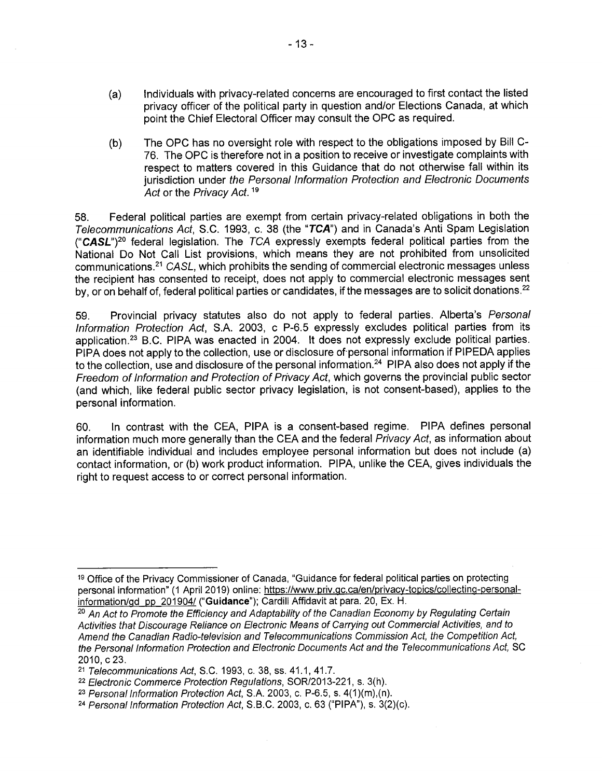- (a) Individuals with privacy-related concerns are encouraged to first contact the listed privacy officer of the political party in question and/or Elections Canada, at which point the Chief Electoral Officer may consult the OPC as required.
- (b) The OPC has no oversight role with respect to the obligations imposed by Bill C-76. The OPC is therefore not in a position to receive or investigate complaints with respect to matters covered in this Guidance that do not otherwise fall within its jurisdiction under the Personal Information Protection and Electronic Documents Act or the Privacy Act.<sup>19</sup>

58. Federal political parties are exempt from certain privacy-related obligations in both the Telecommunications Act, S.C. 1993, c. 38 (the "TCA") and in Canada's Anti Spam Legislation ("CASL")<sup>20</sup> federal legislation. The  $TCA$  expressly exempts federal political parties from the National Do Not Call List provisions, which means they are not prohibited from unsolicited communications.21 CASL, which prohibits the sending of commercial electronic messages unless the recipient has consented to receipt, does not apply to commercial electronic messages sent by, or on behalf of, federal political parties or candidates, if the messages are to solicit donations.<sup>22</sup>

59. Provincial privacy statutes also do not apply to federal parties. Alberta's Personal Information Protection Act, S.A. 2003, c P-6.5 expressly excludes political parties from its application.23 B.C. PIPA was enacted in 2004. It does not expressly exclude political parties. PIPA does not apply to the collection, use or disclosure of personal information if PIPEDA applies to the collection, use and disclosure of the personal information.<sup>24</sup> PIPA also does not apply if the Freedom of Information and Protection of Privacy Act, which governs the provincial public sector (and which, like federal public sector privacy legislation, is not consent-based), applies to the personal information.

60. In contrast with the CEA, PIPA is a consent-based regime. PIPA defines personal information much more generally than the CEA and the federal Privacy Act, as information about an identifiable individual and includes employee personal information but does not include (a) contact information, or (b) work product information. PIPA, unlike the CEA, gives individuals the right to request access to or correct personal information.

<sup>19</sup> Office of the Privacy Commissioner of Canada, "Guidance for federal political parties on protecting personal information" (1 April 2019) online: https://www.priv.gc.ca/en/privacy-topics/collecting-personalinformation/gd pp 201904/ ("Guidance"); Cardill Affidavit at para. 20, Ex. H.

<sup>&</sup>lt;sup>20</sup> An Act to Promote the Efficiency and Adaptability of the Canadian Economy by Regulating Certain Activities that Discourage Reliance on Electronic Means of Carrying out Commercial Activities, and to Amend the Canadian Radio-television and Telecommunications Commission Act, the Competition Act, the Personal Information Protection and Electronic Documents Act and the Telecommunications Act, SC 2010, c 23.

<sup>21</sup> Telecommunications Act, S.C. 1993, c. 38, ss. 41.1, 41.7.

<sup>22</sup> Electronic Commerce Protection Regulations, SOR/2013-221, s. 3(h).

 $23$  Personal Information Protection Act, S.A. 2003, c. P-6.5, s.  $4(1)(m)$ , (n).

<sup>24</sup> Personal Information Protection Act, S.B.C. 2003, c. 63 ("PIPA"), s. 3(2)(c).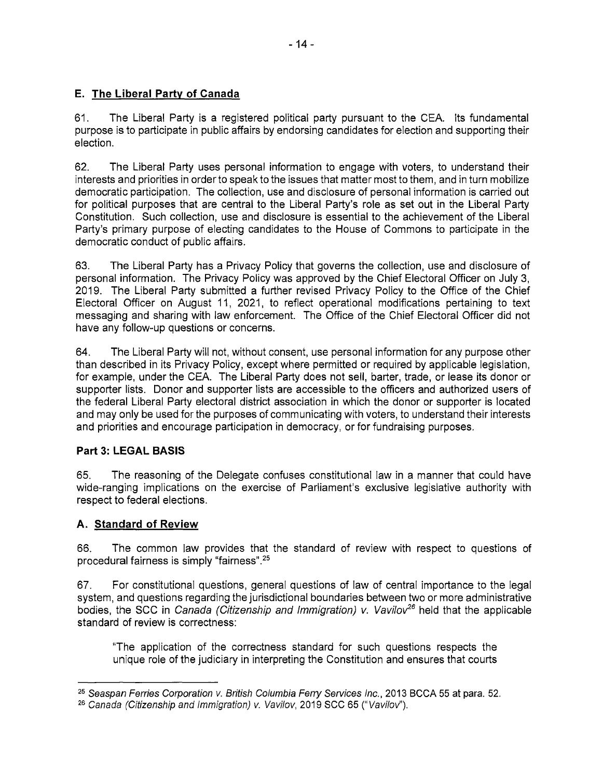### E. The Liberal Party of Canada

<sup>6</sup>1. The Liberal Party is a registered political party pursuant to the CEA. Its fundamental <sup>p</sup>urpose is to participate in public affairs by endorsing candidates for election and supporting their <sup>e</sup>lection.

<sup>6</sup>2. The Liberal Party uses personal information to engage with voters, to understand their nterests and priorities in order to speak to the issues that matter most to them, and in turn mobilize <sup>d</sup>emocratic participation. The collection, use and disclosure of personal information is carried out <sup>f</sup>or political purposes that are central to the Liberal Party's role as set out in the Liberal Party <sup>C</sup>onstitution. Such collection, use and disclosure is essential to the achievement of the Liberal <sup>P</sup>arty's primary purpose of electing candidates to the House of Commons to participate in the democratic conduct of public affairs.

<sup>6</sup>3. The Liberal Party has a Privacy Policy that governs the collection, use and disclosure of <sup>p</sup>ersonal information. The Privacy Policy was approved by the Chief Electoral Officer on July 3, <sup>2</sup>019. The Liberal Party submitted a further revised Privacy Policy to the Office of the Chief <sup>E</sup>lectoral Officer on August 11, 2021, to reflect operational modifications pertaining to text <sup>m</sup>essaging and sharing with law enforcement. The Office of the Chief Electoral Officer did not have any follow-up questions or concerns.

<sup>6</sup>4. The Liberal Party will not, without consent, use personal information for any purpose other <sup>t</sup>han described in its Privacy Policy, except where permitted or required by applicable legislation, <sup>f</sup>or example, under the CEA. The Liberal Party does not sell, barter, trade, or lease its donor or <sup>s</sup>upporter lists. Donor and supporter lists are accessible to the officers and authorized users of <sup>t</sup>he federal Liberal Party electoral district association in which the donor or supporter is located <sup>a</sup>nd may only be used for the purposes of communicating with voters, to understand their interests <sup>a</sup>nd priorities and encourage participation in democracy, or for fundraising purposes.

### Part 3: LEGAL BASIS

<sup>6</sup>5. The reasoning of the Delegate confuses constitutional law in a manner that could have <sup>w</sup>ide-ranging implications on the exercise of Parliament's exclusive legislative authority with <sup>r</sup>espect to federal elections.

### A. Sta<sup>n</sup>da<sup>r</sup>d <sup>o</sup>f Revi<sup>e</sup><sup>w</sup>

<sup>6</sup>6. The common law provides that the standard of review with respect to questions of <sup>p</sup>rocedural fairness is simply "fairness".25

<sup>6</sup>7. For constitutional questions, general questions of law of central importance to the legal <sup>s</sup>ystem, and questions regarding the jurisdictional boundaries between two or more administrative bodies, the SCC in Canada (Citizenship and Immigration) v. Vavilov<sup>26</sup> held that the applicable <sup>s</sup>tandard of review is correctness:

"The application of the correctness standard for such questions respects the <sup>u</sup>nique role of the judiciary in interpreting the Constitution and ensures that courts

<sup>&</sup>lt;sup>25</sup> Seaspan Ferries Corporation v. British Columbia Ferry Services Inc., 2013 BCCA 55 at para. 52.

<sup>&</sup>lt;sup>26</sup> Canada (Citizenship and Immigration) v. Vavilov, 2019 SCC 65 ("Vavilov").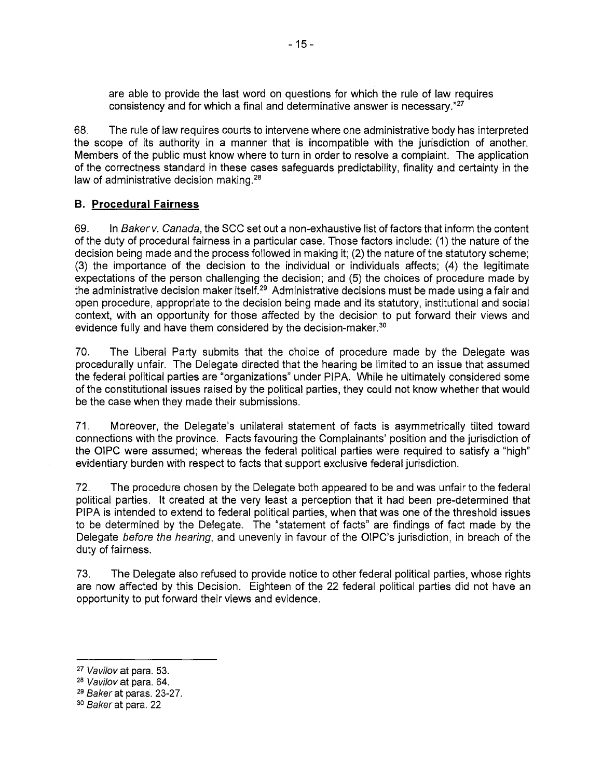<sup>a</sup>re able to provide the last word on questions for which the rule of law requires consistency and for which a final and determinative answer is necessary."27

68. The rule of law requires courts to intervene where one administrative body has interpreted <sup>t</sup>he scope of its authority in a manner that is incompatible with the jurisdiction of another. <sup>M</sup>embers of the public must know where to turn in order to resolve a complaint. The application <sup>o</sup>f the correctness standard in these cases safeguards predictability, finality and certainty in the law of administrative decision making.<sup>28</sup>

#### **B. Procedural Fairness**

69. In Baker v. Canada, the SCC set out a non-exhaustive list of factors that inform the content <sup>o</sup>f the duty of procedural fairness in a particular case. Those factors include: (1) the nature of the <sup>d</sup>ecision being made and the process followed in making it; (2) the nature of the statutory scheme; (3) the importance of the decision to the individual or individuals affects; (4) the legitimate <sup>e</sup>xpectations of the person challenging the decision; and (5) the choices of procedure made by <sup>t</sup>he administrative decision maker itself.29 Administrative decisions must be made using a fair and <sup>o</sup>pen procedure, appropriate to the decision being made and its statutory, institutional and social <sup>c</sup>ontext, with an opportunity for those affected by the decision to put forward their views and evidence fully and have them considered by the decision-maker.<sup>30</sup>

<sup>7</sup>0. The Liberal Party submits that the choice of procedure made by the Delegate was <sup>p</sup>rocedurally unfair. The Delegate directed that the hearing be limited to an issue that assumed <sup>t</sup>he federal political parties are "organizations" under PIPA. While he ultimately considered some <sup>o</sup>f the constitutional issues raised by the political parties, they could not know whether that would be the case when they made their submissions.

<sup>7</sup>1. Moreover, the Delegate's unilateral statement of facts is asymmetrically tilted toward <sup>c</sup>onnections with the province. Facts favouring the Complainants' position and the jurisdiction of <sup>t</sup>he OIPC were assumed; whereas the federal political parties were required to satisfy a "high" <sup>e</sup>videntiary burden with respect to facts that support exclusive federal jurisdiction.

<sup>7</sup>2. The procedure chosen by the Delegate both appeared to be and was unfair to the federal <sup>p</sup>olitical parties. It created at the very least a perception that it had been pre-determined that <sup>P</sup>IPA is intended to extend to federal political parties, when that was one of the threshold issues <sup>t</sup>o be determined by the Delegate. The "statement of facts" are findings of fact made by the <sup>D</sup>elegate before the hearing, and unevenly in favour of the OIPC's jurisdiction, in breach of the duty of fairness.

<sup>7</sup>3. The Delegate also refused to provide notice to other federal political parties, whose rights <sup>a</sup>re now affected by this Decision. Eighteen of the 22 federal political parties did not have an <sup>o</sup>pportunity to put forward their views and evidence.

<sup>27</sup> Vavilov at para. 53.

<sup>2</sup><sup>8</sup> Vavilov at para. 64.

<sup>2</sup><sup>9</sup> Baker at paras. 23-27.

<sup>3</sup><sup>0</sup> Baker at para. 22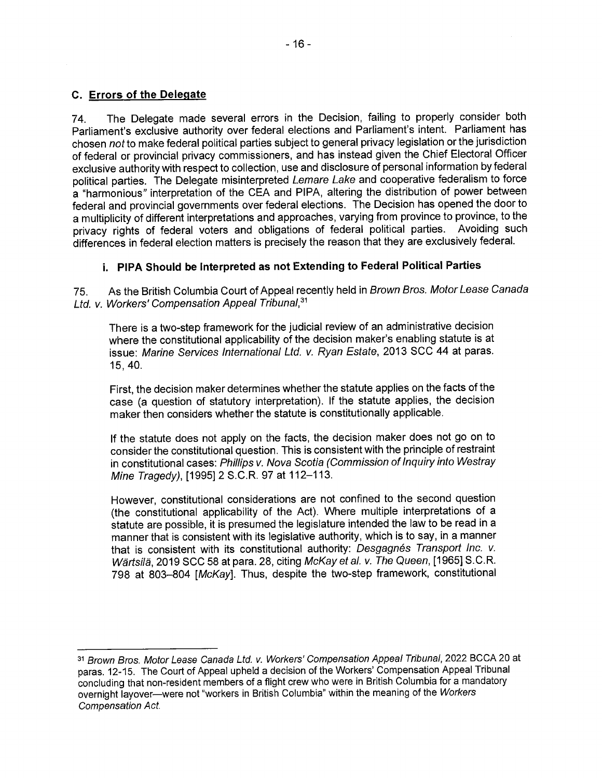<sup>7</sup>4. The Delegate made several errors in the Decision, failing to properly consider both <sup>P</sup>arliament's exclusive authority over federal elections and Parliament's intent. Parliament has <sup>c</sup>hosen not to make federal political parties subject to general privacy legislation or the jurisdiction <sup>o</sup>f federal or provincial privacy commissioners, and has instead given the Chief Electoral Officer <sup>e</sup>xclusive authority with respect to collection, use and disclosure of personal information by federal political parties. The Delegate misinterpreted Lemare Lake and cooperative federalism to force <sup>a</sup> "harmonious" interpretation of the CEA and PIPA, altering the distribution of power between <sup>f</sup>ederal and provincial governments over federal elections. The Decision has opened the door to a multiplicity of different interpretations and approaches, varying from province to province, to the privacy rights of federal voters and obligations of federal political parties. Avoiding such privacy rights of federal voters and obligations of federal political parties. <sup>d</sup>ifferences in federal election matters is precisely the reason that they are exclusively federal.

### <sup>i</sup>. PIPA Should be Interpreted as not Extending to Federal Political Parties

<sup>7</sup>5. As the British Columbia Court of Appeal recently held in Brown Bros. Motor Lease Canada Ltd. v. Workers' Compensation Appeal Tribunal, 31

<sup>T</sup>here is a two-step framework for the judicial review of an administrative decision <sup>w</sup>here the constitutional applicability of the decision maker's enabling statute is at issue: Marine Services International Ltd. v. Ryan Estate, 2013 SCC 44 at paras. 15,40.

<sup>F</sup>irst, the decision maker determines whether the statute applies on the facts of the <sup>c</sup>ase (a question of statutory interpretation). If the statute applies, the decision <sup>m</sup>aker then considers whether the statute is constitutionally applicable.

<sup>I</sup>f the statute does not apply on the facts, the decision maker does not go on to <sup>c</sup>onsider the constitutional question. This is consistent with the principle of restraint iin constitutional cases: Phillips v. Nova Scotia (Commission of Inquiry into Westray <sup>M</sup>ine Tragedy), [1995] 2 S.C.R. 97 at 112-113.

<sup>H</sup>owever, constitutional considerations are not confined to the second question (the constitutional applicability of the Act). Where multiple interpretations of <sup>a</sup> <sup>s</sup>tatute are possible, it is presumed the legislature intended the law to be read in <sup>a</sup> <sup>m</sup>anner that is consistent with its legislative authority, which is to say, in a manner that is consistent with its constitutional authority: Desgagnés Transport Inc. v. <sup>W</sup>artsila, 2019 SCC 58 at para. 28, citing McKay et al. v. The Queen, [1965] S.C.R. <sup>7</sup>98 at 803-804 [McKay]. Thus, despite the two-step framework, constitutional

<sup>3</sup><sup>1</sup> Brown Bros. Motor Lease Canada Ltd. v. Workers' Compensation Appeal Tribunal, 2022 BCCA 20 at <sup>p</sup>aras. 12-15. The Court of Appeal upheld a decision of the Workers' Compensation Appeal Tribunal <sup>c</sup>oncluding that non-resident members of a flight crew who were in British Columbia for a mandatory <sup>o</sup>vernight layover—were not "workers in British Columbia" within the meaning of the Workers Compensation Act.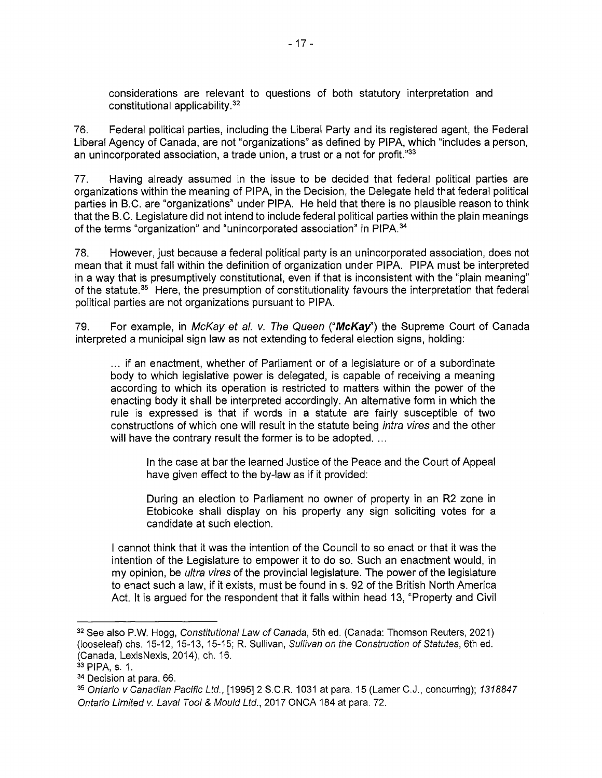<sup>c</sup>onsiderations are relevant to questions of both statutory interpretation and <sup>c</sup>onstitutional applicability.32

<sup>7</sup>6. Federal political parties, including the Liberal Party and its registered agent, the Federal <sup>L</sup>iberal Agency of Canada, are not "organizations" as defined by PIPA, which "includes a person, an unincorporated association, a trade union, a trust or a not for profit." $33$ 

<sup>7</sup>7. Having already assumed in the issue to be decided that federal political parties are <sup>o</sup>rganizations within the meaning of PIPA, in the Decision, the Delegate held that federal political <sup>p</sup>arties in B.C. are "organizations" under PIPA. He held that there is no plausible reason to think <sup>t</sup>hat the B.C. Legislature did not intend to include federal political parties within the plain meanings of the terms "organization" and "unincorporated association" in PIPA.<sup>34</sup>

<sup>7</sup>8. However, just because a federal political party is an unincorporated association, does not <sup>m</sup>ean that it must fall within the definition of organization under PIPA. PIPA must be interpreted iin a way that is presumptively constitutional, even if that is inconsistent with the "plain meaning" of the statute.<sup>35</sup> Here, the presumption of constitutionality favours the interpretation that federal <sup>p</sup>olitical parties are not organizations pursuant to PIPA.

79. For example, in McKay et al. v. The Queen (" $McKay$ ") the Supreme Court of Canada iinterpreted a municipal sign law as not extending to federal election signs, holding:

... if an enactment, whether of Parliament or of a legislature or of a subordinate <sup>b</sup>ody to which legislative power is delegated, is capable of receiving a meaning <sup>a</sup>ccording to which its operation is restricted to matters within the power of the <sup>e</sup>nacting body it shall be interpreted accordingly. An alternative form in which the <sup>r</sup>ule is expressed is that if words in a statute are fairly susceptible of two <sup>c</sup>onstructions of which one will result in the statute being infra vires and the other will have the contrary result the former is to be adopted. ...

In the case at bar the learned Justice of the Peace and the Court of Appeal <sup>h</sup>ave given effect to the by-law as if it provided:

<sup>D</sup>uring an election to Parliament no owner of property in an R2 zone in <sup>E</sup>tobicoke shall display on his property any sign soliciting votes for <sup>a</sup> <sup>c</sup>andidate at such election.

I cannot think that it was the intention of the Council to so enact or that it was the i ntention of the Legislature to empower it to do so. Such an enactment would, in my opinion, be *ultra vires* of the provincial legislature. The power of the legislature <sup>t</sup>o enact such a law, if it exists, must be found in s. 92 of the British North America <sup>A</sup>ct. It is argued for the respondent that it falls within head 13, "Property and Civil

<sup>&</sup>lt;sup>32</sup> See also P.W. Hogg, Constitutional Law of Canada, 5th ed. (Canada: Thomson Reuters, 2021) (looseleaf) chs. 15-12, 15-13, 15-15; R. Sullivan, Sullivan on the Construction of Statutes, 6th ed. (Canada, LexisNexis, 2014), ch. 16.

<sup>33</sup> PIPA, s. 1.

<sup>3</sup><sup>4</sup> Decision at para. 66.

<sup>35</sup> Ontario v Canadian Pacific Ltd., [1995] 2 S.C.R. 1031 at para. 15 (Lamer C.J., concurring); 1318847 Ontario Limited v. Laval Tool & Mould Ltd., 2017 ONCA 184 at para. 72.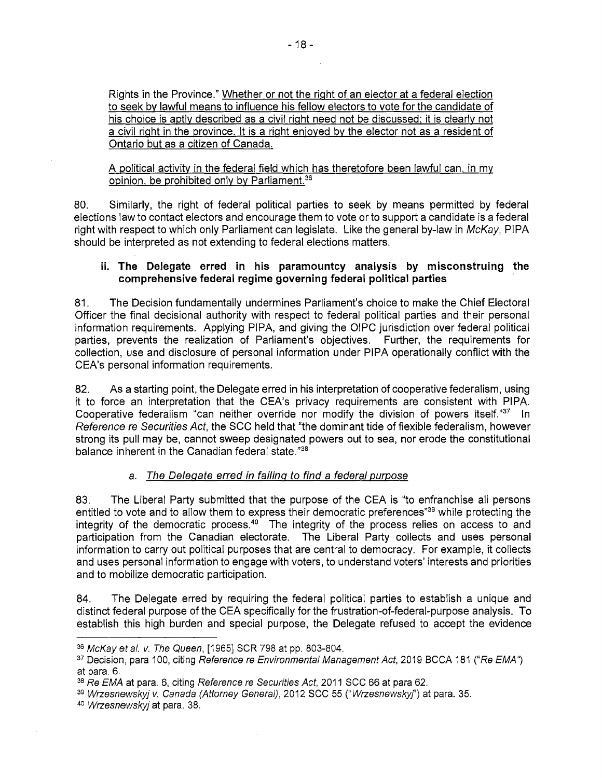<sup>R</sup>ights in the Province." Whethe<sup>r</sup> <sup>o</sup><sup>r</sup> <sup>n</sup>o<sup>t</sup> <sup>t</sup>h<sup>e</sup> <sup>r</sup>igh<sup>t</sup> <sup>o</sup><sup>f</sup> <sup>a</sup><sup>n</sup> <sup>e</sup>lecto<sup>r</sup> <sup>a</sup><sup>t</sup> <sup>a</sup> <sup>f</sup>edera<sup>l</sup> <sup>e</sup>lectio<sup>n</sup> to seek by lawful means to influence his fellow electors to vote for the candidate of his choice is aptly described as a civil right need not be discussed; it is clearly not a civil right in the province. It is a right enjoyed by the elector not as a resident of Onta<sup>r</sup>i<sup>o</sup> but <sup>a</sup><sup>s</sup> <sup>a</sup> <sup>c</sup>itize<sup>n</sup> <sup>o</sup>f Canada.

A political activity in the federal field which has theretofore been lawful can, in my opinion, be prohibited only by Parliament.<sup>36</sup>

<sup>8</sup>0. Similarly, the right of federal political parties to seek by means permitted by federal <sup>e</sup>lections law to contact electors and encourage them to vote or to support a candidate is a federal right with respect to which only Parliament can legislate. Like the general by-law in McKay, PIPA <sup>s</sup>hould be interpreted as not extending to federal elections matters.

#### <sup>i</sup>i. The Delegate erred in his paramountcy analysis by misconstruing the <sup>c</sup>omprehensive federal regime governing federal political parties

<sup>8</sup>1. The Decision fundamentally undermines Parliament's choice to make the Chief Electoral <sup>O</sup>fficer the final decisional authority with respect to federal political parties and their personal <sup>i</sup>nformation requirements. Applying PIPA, and giving the OIPC jurisdiction over federal political <sup>p</sup>arties, prevents the realization of Parliament's objectives. Further, the requirements for <sup>c</sup>ollection, use and disclosure of personal information under PIPA operationally conflict with the <sup>C</sup>EA's personal information requirements.

<sup>8</sup>2. As a starting point, the Delegate erred in his interpretation of cooperative federalism, using <sup>i</sup>t to force an interpretation that the CEA's privacy requirements are consistent with PIPA. Cooperative federalism "can neither override nor modify the division of powers itself."<sup>37</sup> In <sup>R</sup>eference re Securities Act, the SCC held that "the dominant tide of flexible federalism, however <sup>s</sup>trong its pull may be, cannot sweep designated powers out to sea, nor erode the constitutional balance inherent in the Canadian federal state."38

### <sup>a</sup>. Th<sup>e</sup> <sup>D</sup>elegat<sup>e</sup> <sup>e</sup>rred i<sup>n</sup> failin<sup>g</sup> <sup>t</sup><sup>o</sup> find <sup>a</sup> federal <sup>p</sup>urpos<sup>e</sup>

<sup>8</sup>3. The Liberal Party submitted that the purpose of the CEA is "to enfranchise all persons entitled to vote and to allow them to express their democratic preferences<sup>"39</sup> while protecting the integrity of the democratic process.<sup>40</sup> The integrity of the process relies on access to and <sup>p</sup>articipation from the Canadian electorate. The Liberal Party collects and uses personal iinformation to carry out political purposes that are central to democracy. For example, it collects <sup>a</sup>nd uses personal information to engage with voters, to understand voters' interests and priorities <sup>a</sup>nd to mobilize democratic participation.

<sup>8</sup>4. The Delegate erred by requiring the federal political parties to establish a unique and <sup>d</sup>istinct federal purpose of the CEA specifically for the frustration-of-federal-purpose analysis. To <sup>e</sup>stablish this high burden and special purpose, the Delegate refused to accept the evidence

<sup>3</sup><sup>6</sup> McKay et al. v. The Queen, [1965] SCR 798 at pp. 803-804.

<sup>&</sup>lt;sup>37</sup> Decision, para 100, citing Reference re Environmental Management Act, 2019 BCCA 181 ("Re EMA") <sup>a</sup>t para. 6.

<sup>38</sup> Re EMA at para. 6, citing Reference re Securities Act, 2011 SCC 66 at para 62.

<sup>39</sup> Wrzesnewskyj v. Canada (Attorney General), 2012 SCC 55 ("Wrzesnewskyj") at para. 35.

<sup>4</sup>0 Wrzesnewskyj at para. 38.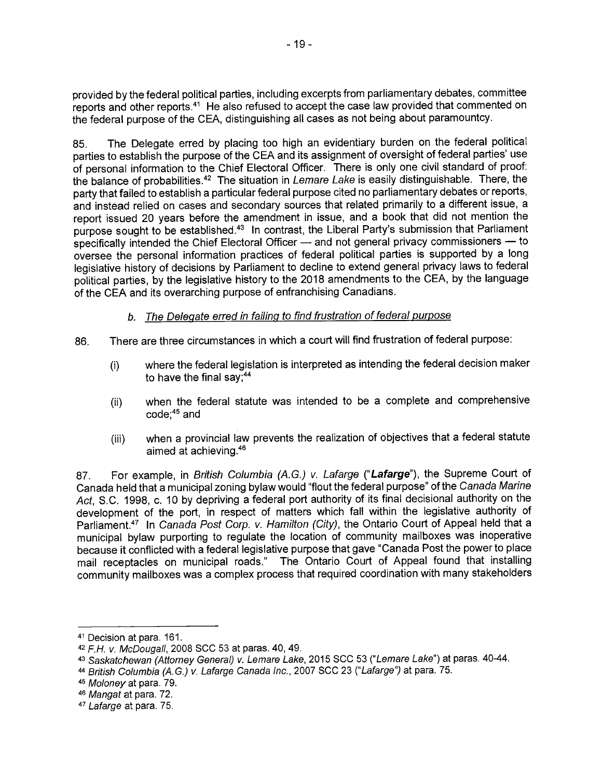<sup>p</sup>rovided by the federal political parties, including excerpts from parliamentary debates, committee reports and other reports.<sup>41</sup> He also refused to accept the case law provided that commented on <sup>t</sup>he federal purpose of the CEA, distinguishing all cases as not being about paramountcy.

<sup>8</sup>5. The Delegate erred by placing too high an evidentiary burden on the federal political <sup>p</sup>arties to establish the purpose of the CEA and its assignment of oversight of federal parties' use <sup>o</sup>f personal information to the Chief Electoral Officer. There is only one civil standard of proof: the balance of probabilities.<sup>42</sup> The situation in Lemare Lake is easily distinguishable. There, the <sup>p</sup>arty that failed to establish a particular federal purpose cited no parliamentary debates or reports, <sup>a</sup>nd instead relied on cases and secondary sources that related primarily to a different issue, <sup>a</sup> <sup>r</sup>eport issued 20 years before the amendment in issue, and a book that did not mention the purpose sought to be established.<sup>43</sup> In contrast, the Liberal Party's submission that Parliament <sup>s</sup>pecifically intended the Chief Electoral Officer — and not general privacy commissioners — to <sup>o</sup>versee the personal information practices of federal political parties is supported by a long <sup>l</sup>egislative history of decisions by Parliament to decline to extend general privacy laws to federal <sup>p</sup>olitical parties, by the legislative history to the 2018 amendments to the CEA, by the language <sup>o</sup>f the CEA and its overarching purpose of enfranchising Canadians.

#### b. The Delegate erred in failing to find frustration of federal purpose

- 86. There are three circumstances in which a court will find frustration of federal purpose:
	- (i) where the federal legislation is interpreted as intending the federal decision maker to have the final say;  $44$
	- (ii) when the federal statute was intended to be a complete and comprehensive <sup>c</sup>ode;45 and
	- (iii) when a provincial law prevents the realization of objectives that a federal statute <sup>a</sup>imed at achieving.46

87. For example, in British Columbia (A.G.) v. Lafarge ("Lafarge"), the Supreme Court of <sup>C</sup>anada held that a municipal zoning bylaw would "flout the federal purpose" of the Canada Marine Act, S.C. 1998, c. 10 by depriving a federal port authority of its final decisional authority on the <sup>d</sup>evelopment of the port, in respect of matters which fall within the legislative authority of Parliament.<sup>47</sup> In Canada Post Corp. v. Hamilton (City), the Ontario Court of Appeal held that a <sup>m</sup>unicipal bylaw purporting to regulate the location of community mailboxes was inoperative because it conflicted with a federal legislative purpose that gave "Canada Post the power to place <sup>m</sup>ail receptacles on municipal roads." The Ontario Court of Appeal found that installing <sup>c</sup>ommunity mailboxes was <sup>a</sup>complex process that required coordination with many stakeholders

<sup>4</sup><sup>1</sup> Decision at para. 161.

<sup>4</sup><sup>2</sup> F.H. v. McDougall, 2008 SCC 53 at paras. 40, 49.

<sup>43</sup> Saskatchewan (Attorney General) v. Lemare Lake, 2015 SCC 53 ("Lemare Lake") at paras. 40-44.

<sup>44</sup> British Columbia (A.G.) v. Lafarge Canada Inc., 2007 SCC 23 ("Lafarge") at para. 75.

<sup>4</sup><sup>5</sup> Moloney at para. 79.

<sup>4</sup><sup>6</sup> Mangat at para. 72.

<sup>4</sup><sup>7</sup> Lafarge at para. 75.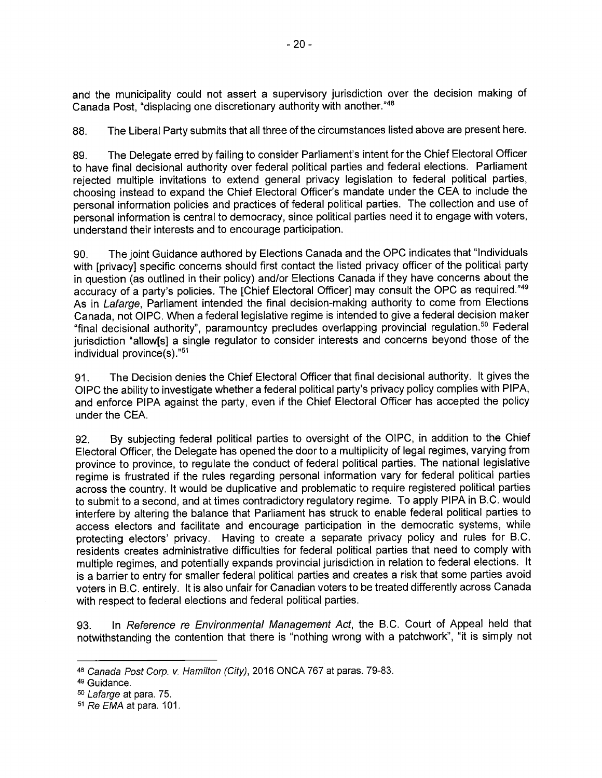and the municipality could not assert a supervisory jurisdiction over the decision making of Canada Post, "displacing one discretionary authority with another."48

88. The Liberal Party submits that all three of the circumstances listed above are present here.

89. The Delegate erred by failing to consider Parliament's intent for the Chief Electoral Officer to have final decisional authority over federal political parties and federal elections. Parliament rejected multiple invitations to extend general privacy legislation to federal political parties, choosing instead to expand the Chief Electoral Officer's mandate under the CEA to include the personal information policies and practices of federal political parties. The collection and use of personal information is central to democracy, since political parties need it to engage with voters, understand their interests and to encourage participation.

90. The joint Guidance authored by Elections Canada and the OPC indicates that "Individuals with [privacy] specific concerns should first contact the listed privacy officer of the political party in question (as outlined in their policy) and/or Elections Canada if they have concerns about the accuracy of a party's policies. The [Chief Electoral Officer] may consult the OPC as required."49 As in Lafarge, Parliament intended the final decision-making authority to come from Elections Canada, not OIPC. When a federal legislative regime is intended to give a federal decision maker "final decisional authority", paramountcy precludes overlapping provincial regulation.5° Federal jurisdiction "allow[s] a single regulator to consider interests and concerns beyond those of the individual province(s)."51

91. The Decision denies the Chief Electoral Officer that final decisional authority. It gives the OIPC the ability to investigate whether a federal political party's privacy policy complies with PIPA, and enforce P1PA against the party, even if the Chief Electoral Officer has accepted the policy under the CEA.

92. By subjecting federal political parties to oversight of the OIPC, in addition to the Chief Electoral Officer, the Delegate has opened the door to a multiplicity of legal regimes, varying from province to province, to regulate the conduct of federal political parties. The national legislative regime is frustrated if the rules regarding personal information vary for federal political parties across the country. It would be duplicative and problematic to require registered political parties to submit to a second, and at times contradictory regulatory regime. To apply PIPA in B.C. would interfere by altering the balance that Parliament has struck to enable federal political parties to access electors and facilitate and encourage participation in the democratic systems, while protecting electors' privacy. Having to create a separate privacy policy and rules for B.C. residents creates administrative difficulties for federal political parties that need to comply with multiple regimes, and potentially expands provincial jurisdiction in relation to federal elections. It is a barrier to entry for smaller federal political parties and creates a risk that some parties avoid voters in B.C. entirely. It is also unfair for Canadian voters to be treated differently across Canada with respect to federal elections and federal political parties.

93. In Reference re Environmental Management Act, the B.C. Court of Appeal held that notwithstanding the contention that there is "nothing wrong with a patchwork", "it is simply not

<sup>48</sup> Canada Post Corp. v. Hamilton (City), 2016 ONCA 767 at paras. 79-83.

<sup>49</sup> Guidance.

<sup>50</sup> Lafarge at para. 75.

<sup>51</sup> Re EMA at para. 101.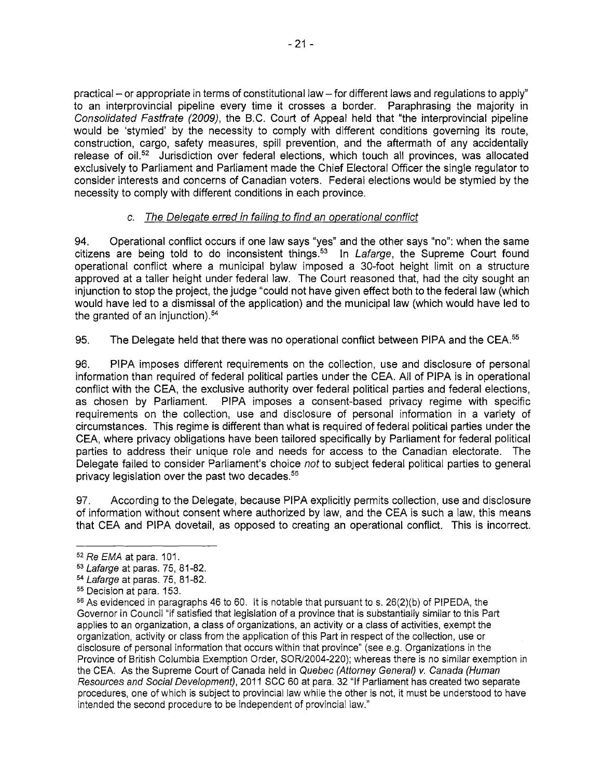<sup>p</sup>ractical — or appropriate in terms of constitutional law — for different laws and regulations to apply" <sup>t</sup>o an interprovincial pipeline every time it crosses a border. Paraphrasing the majority in <sup>C</sup>onsolidated Fastfrate (2009), the B.C. Court of Appeal held that "the interprovincial pipeline <sup>w</sup>ould be 'stymied' by the necessity to comply with different conditions governing its route, <sup>c</sup>onstruction, cargo, safety measures, spill prevention, and the aftermath of any accidentally release of oil.<sup>52</sup> Jurisdiction over federal elections, which touch all provinces, was allocated <sup>e</sup>xclusively to Parliament and Parliament made the Chief Electoral Officer the single regulator to <sup>c</sup>onsider interests and concerns of Canadian voters. Federal elections would be stymied by the <sup>n</sup>ecessity to comply with different conditions in each province.

### <sup>c</sup>. Th<sup>e</sup> <sup>D</sup>elegat<sup>e</sup> <sup>e</sup>rre<sup>d</sup> i<sup>n</sup> <sup>f</sup>ailin<sup>g</sup> <sup>t</sup><sup>o</sup> <sup>f</sup>in<sup>d</sup> <sup>a</sup><sup>n</sup> <sup>o</sup>perationa<sup>l</sup> <sup>c</sup>onflic<sup>t</sup>

<sup>9</sup>4. Operational conflict occurs if one law says "yes" and the other says "no": when the same citizens are being told to do inconsistent things.<sup>53</sup> In Lafarge, the Supreme Court found <sup>o</sup>perational conflict where a municipal bylaw imposed a 30-foot height limit on a structure <sup>a</sup>pproved at a taller height under federal law. The Court reasoned that, had the city sought an i njunction to stop the project, the judge "could not have given effect both to the federal law (which <sup>w</sup>ould have led to a dismissal of the application) and the municipal law (which would have led to the granted of an injunction).<sup>54</sup>

95. The Delegate held that there was no operational conflict between PIPA and the CEA.<sup>55</sup>

<sup>9</sup>6. PIPA imposes different requirements on the collection, use and disclosure of personal i nformation than required of federal political parties under the CEA. All of PIPA is in operational <sup>c</sup>onflict with the CEA, the exclusive authority over federal political parties and federal elections, <sup>a</sup>s chosen by Parliament. PIPA imposes a consent-based privacy regime with specific <sup>r</sup>equirements on the collection, use and disclosure of personal information in a variety of <sup>c</sup>ircumstances. This regime is different than what is required of federal political parties under the <sup>C</sup>EA, where privacy obligations have been tailored specifically by Parliament for federal political <sup>p</sup>arties to address their unique role and needs for access to the Canadian electorate. The Delegate failed to consider Parliament's choice not to subject federal political parties to general <sup>p</sup>rivacy legislation over the past two decades.'

<sup>9</sup>7. According to the Delegate, because PIPA explicitly permits collection, use and disclosure <sup>o</sup>f information without consent where authorized by law, and the CEA is such a law, this means <sup>t</sup>hat CEA and PIPA dovetail, as opposed to creating an operational conflict. This is incorrect.

<sup>5</sup><sup>2</sup> Re EMA at para. 101.

<sup>5</sup><sup>3</sup> Lafarge at paras. 75, 81-82.

<sup>5</sup><sup>4</sup> Lafarge at paras. 75, 81-82.

<sup>5</sup><sup>5</sup> Decision at para. 153.

 $56$  As evidenced in paragraphs 46 to 60. It is notable that pursuant to s. 26(2)(b) of PIPEDA, the <sup>G</sup>overnor in Council "if satisfied that legislation of a province that is substantially similar to this Part <sup>a</sup>pplies to an organization, a class of organizations, an activity or a class of activities, exempt the <sup>o</sup>rganization, activity or class from the application of this Part in respect of the collection, use or <sup>d</sup>isclosure of personal information that occurs within that province" (see e.g. Organizations in the <sup>P</sup>rovince of British Columbia Exemption Order, SOR/2004-220); whereas there is no similar exemption in <sup>t</sup>he CEA. As the Supreme Court of Canada held in Quebec (Attorney General) v. Canada (Human <sup>R</sup>esources and Social Development), 2011 SCC 60 at para. 32 "If Parliament has created two separate <sup>p</sup>rocedures, one of which is subject to provincial law while the other is not, it must be understood to have intended the second procedure to be independent of provincial law."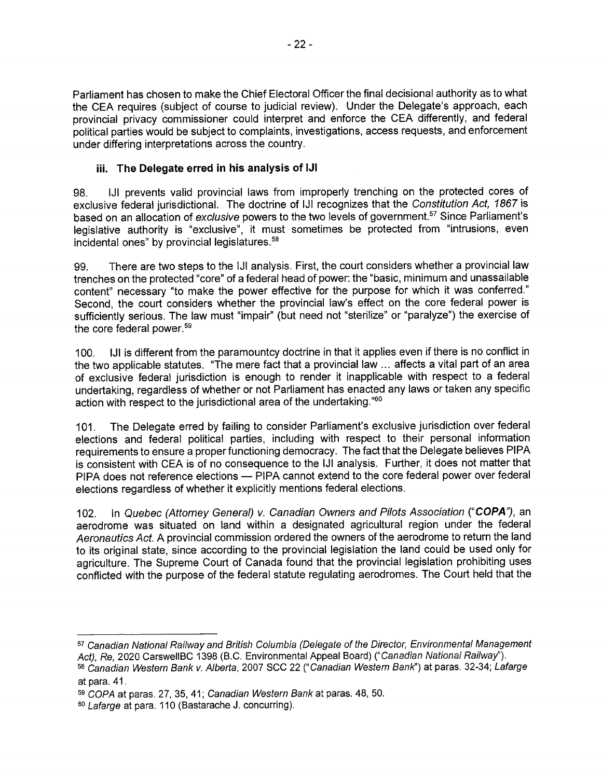Parliament has chosen to make the Chief Electoral Officer the final decisional authority as to what the CEA requires (subject of course to judicial review). Under the Delegate's approach, each provincial privacy commissioner could interpret and enforce the CEA differently, and federal political parties would be subject to complaints, investigations, access requests, and enforcement under differing interpretations across the country.

#### iii. The Delegate erred in his analysis of IJ1

98. IJI prevents valid provincial laws from improperly trenching on the protected cores of exclusive federal jurisdictional. The doctrine of IJ1 recognizes that the Constitution Act, 1867 is based on an allocation of exclusive powers to the two levels of government.<sup>57</sup> Since Parliament's legislative authority is "exclusive", it must sometimes be protected from "intrusions, even incidental ones" by provincial legislatures.<sup>58</sup>

99. There are two steps to the 1J1 analysis. First, the court considers whether a provincial law trenches on the protected "core" of a federal head of power: the "basic, minimum and unassailable content" necessary "to make the power effective for the purpose for which it was conferred." Second, the court considers whether the provincial law's effect on the core federal power is sufficiently serious. The law must "impair" (but need not "sterilize" or "paralyze") the exercise of the core federal power.<sup>59</sup>

100. IJI is different from the paramountcy doctrine in that it applies even if there is no conflict in the two applicable statutes. "The mere fact that a provincial law ... affects a vital part of an area of exclusive federal jurisdiction is enough to render it inapplicable with respect to a federal undertaking, regardless of whether or not Parliament has enacted any laws or taken any specific action with respect to the jurisdictional area of the undertaking."<sup>60</sup>

101. The Delegate erred by failing to consider Parliament's exclusive jurisdiction over federal elections and federal political parties, including with respect to their personal information requirements to ensure a proper functioning democracy. The fact that the Delegate believes PIPA is consistent with CEA is of no consequence to the IJI analysis. Further, it does not matter that PIPA does not reference elections - PIPA cannot extend to the core federal power over federal elections regardless of whether it explicitly mentions federal elections.

102. In Quebec (Attorney General) v. Canadian Owners and Pilots Association ("COPA"), an aerodrome was situated on land within a designated agricultural region under the federal Aeronautics Act. A provincial commission ordered the owners of the aerodrome to return the land to its original state, since according to the provincial legislation the land could be used only for agriculture. The Supreme Court of Canada found that the provincial legislation prohibiting uses conflicted with the purpose of the federal statute regulating aerodromes. The Court held that the

<sup>57</sup> Canadian National Railway and British Columbia (Delegate of the Director, Environmental Management Act), Re, 2020 CarswellBC 1398 (B.C. Environmental Appeal Board) ("Canadian National Railway"). 58 Canadian Western Bank v. Alberta, 2007 SCC 22 ("Canadian Western Bank") at paras. 32-34; Lafarge

at para. 41.

<sup>59</sup> COPA at paras. 27, 35, 41; Canadian Western Bank at paras. 48, 50.

<sup>6°</sup> Lafarge at para. 110 (Bastarache J. concurring).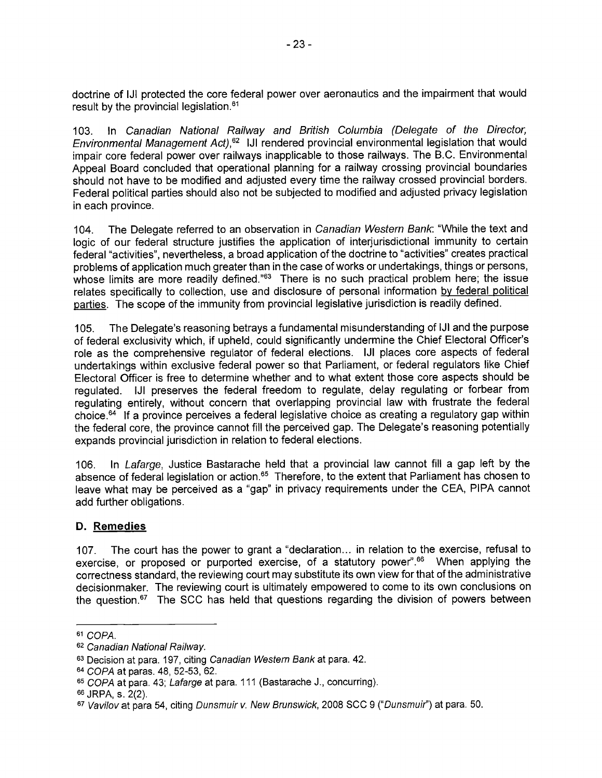doctrine of IJI protected the core federal power over aeronautics and the impairment that would result by the provincial legislation.<sup>61</sup>

103. In Canadian National Railway and British Columbia (Delegate of the Director, Environmental Management Act),<sup>62</sup> IJI rendered provincial environmental legislation that would impair core federal power over railways inapplicable to those railways. The B.C. Environmental Appeal Board concluded that operational planning for a railway crossing provincial boundaries should not have to be modified and adjusted every time the railway crossed provincial borders. Federal political parties should also not be subjected to modified and adjusted privacy legislation in each province.

104. The Delegate referred to an observation in Canadian Western Bank: "While the text and logic of our federal structure justifies the application of interjurisdictional immunity to certain federal "activities", nevertheless, a broad application of the doctrine to "activities" creates practical problems of application much greater than in the case of works or undertakings, things or persons, whose limits are more readily defined."<sup>63</sup> There is no such practical problem here; the issue relates specifically to collection, use and disclosure of personal information by federal political parties. The scope of the immunity from provincial legislative jurisdiction is readily defined.

105. The Delegate's reasoning betrays a fundamental misunderstanding of iJi and the purpose of federal exclusivity which, if upheld, could significantly undermine the Chief Electoral Officer's role as the comprehensive regulator of federal elections. IJI places core aspects of federal undertakings within exclusive federal power so that Parliament, or federal regulators like Chief Electoral Officer is free to determine whether and to what extent those core aspects should be regulated. IJI preserves the federal freedom to regulate, delay regulating or forbear from regulating entirely, without concern that overlapping provincial law with frustrate the federal choice.64 If a province perceives a federal legislative choice as creating a regulatory gap within the federal core, the province cannot fill the perceived gap. The Delegate's reasoning potentially expands provincial jurisdiction in relation to federal elections.

106. In Lafarge, Justice Bastarache held that a provincial law cannot fill a gap left by the absence of federal legislation or action.<sup>65</sup> Therefore, to the extent that Parliament has chosen to leave what may be perceived as a "gap" in privacy requirements under the CEA, PIPA cannot add further obligations.

#### D. Remedies

107. The court has the power to grant a "declaration... in relation to the exercise, refusal to exercise, or proposed or purported exercise, of a statutory power".<sup>66</sup> When applying the correctness standard, the reviewing court may substitute its own view for that of the administrative decisionmaker. The reviewing court is ultimately empowered to come to its own conclusions on the question. $^{67}$  The SCC has held that questions regarding the division of powers between

<sup>61</sup> COPA.

<sup>62</sup> Canadian National Railway.

<sup>63</sup> Decision at para. 197, citing Canadian Western Bank at para. 42.

<sup>64</sup> COPA at paras. 48, 52-53, 62.

<sup>65</sup> COPA at para. 43; Lafarge at para. 111 (Bastarache J., concurring).

ss JRPA, s. 2(2).

<sup>67</sup> Vavilov at para 54, citing Dunsmuir v. New Brunswick, 2008 SCC 9 ("Dunsmuir") at para. 50.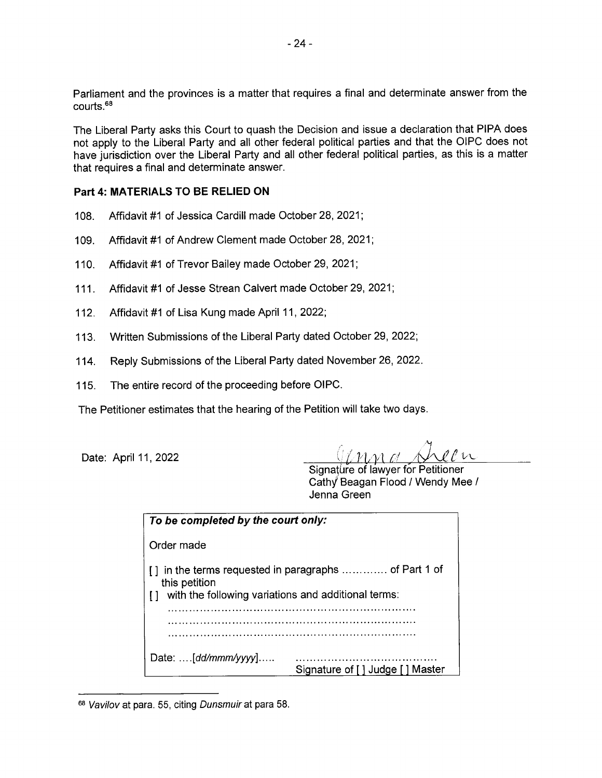Parliament and the provinces is a matter that requires a final and determinate answer from the courts.<sup>68</sup>

The Liberal Party asks this Court to quash the Decision and issue a declaration that PIPA does not apply to the Liberal Party and all other federal political parties and that the OIPC does not have jurisdiction over the Liberal Party and all other federal political parties, as this is a matter that requires a final and determinate answer.

#### Part 4: MATERIALS TO BE RELIED ON

- 108. Affidavit #1 of Jessica Cardill made October 28, 2021;
- 109. Affidavit #1 of Andrew Clement made October 28, 2021;
- <sup>1</sup> 10. Affidavit #1 of Trevor Bailey made October 29, 2021;
- 111. Affidavit #1 of Jesse Strean Calvert made October 29, 2021;
- 112. Affidavit #1 of Lisa Kung made April 11, 2022;
- 113. Written Submissions of the Liberal Party dated October 29, 2022;
- 114. Reply Submissions of the Liberal Party dated November 26, 2022.
- 115. The entire record of the proceeding before OIPC.

The Petitioner estimates that the hearing of the Petition will take two days

Date: April 11, 2022

 $\rho \rho$   $\nu$ 

Signature of lawyer for Petitioner Cathy Beagan Flood / Wendy Mee / Jenna Green

| To be completed by the court only:                                                                                         |                                      |
|----------------------------------------------------------------------------------------------------------------------------|--------------------------------------|
| Order made                                                                                                                 |                                      |
| in the terms requested in paragraphs  of Part 1 of<br>this petition<br>with the following variations and additional terms: |                                      |
| Date: [dd/mmm/yyyy]                                                                                                        | Signature of []<br>Judae I<br>Master |

<sup>68</sup> Vavilov at para. 55, citing Dunsmuir at para 58.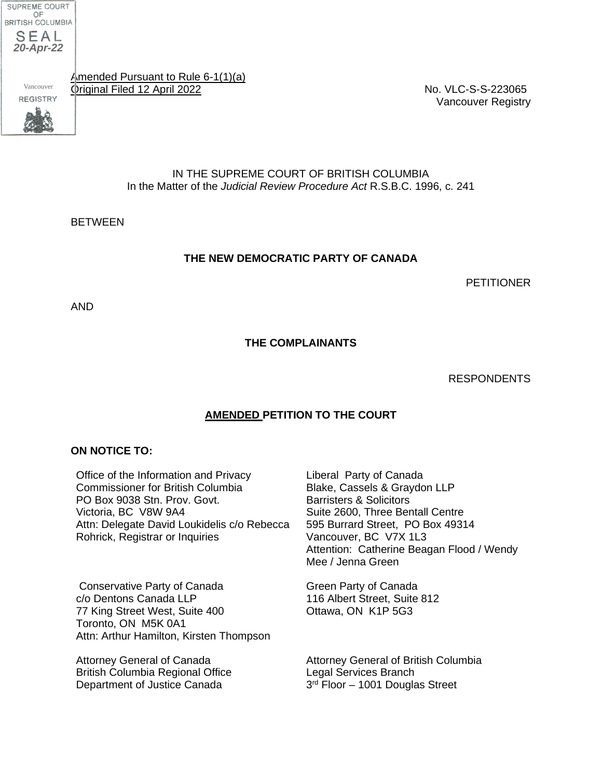

Vancouver

Amended Pursuant to Rule 6-1(1)(a) Original Filed 12 April 2022 No. VLC-S-S-223065

Vancouver Registry

IN THE SUPREME COURT OF BRITISH COLUMBIA In the Matter of the *Judicial Review Procedure Act* R.S.B.C. 1996, c. 241

**BETWEEN** 

#### **THE NEW DEMOCRATIC PARTY OF CANADA**

PETITIONER

AND

**THE COMPLAINANTS**

#### RESPONDENTS

#### **AMENDED PETITION TO THE COURT**

#### **ON NOTICE TO:**

Office of the Information and Privacy Commissioner for British Columbia PO Box 9038 Stn. Prov. Govt. Victoria, BC V8W 9A4 Attn: Delegate David Loukidelis c/o Rebecca Rohrick, Registrar or Inquiries 3rd From the Real Party of Canada<br>
Schematical Pursuant to Rule 6-1(1)[a)<br>
No. VLances<br>
1000110112012222<br>
In the Matter of the Judicial Review Procedure Act R.S.B.C. 1996, c.<br>
In THE SUPREME COURT OF BRITISH COLUMBIA<br>
In t

Conservative Party of Canada c/o Dentons Canada LLP 77 King Street West, Suite 400 Toronto, ON M5K 0A1 Attn: Arthur Hamilton, Kirsten Thompson

Attorney General of Canada British Columbia Regional Office Department of Justice Canada

Liberal Party of Canada Blake, Cassels & Graydon LLP Barristers & Solicitors Suite 2600, Three Bentall Centre 595 Burrard Street, PO Box 49314 Vancouver, BC V7X 1L3 Attention: Catherine Beagan Flood / Wendy Mee / Jenna Green

Green Party of Canada 116 Albert Street, Suite 812 Ottawa, ON K1P 5G3

Attorney General of British Columbia Legal Services Branch<br>3<sup>rd</sup> Floor – 1001 Douglas Street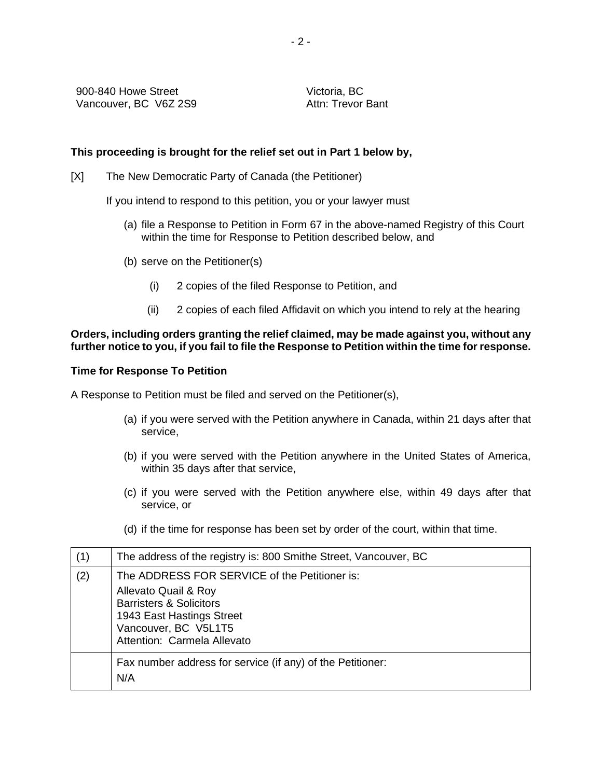Victoria, BC Attn: Trevor Bant

#### **This proceeding is brought for the relief set out in Part 1 below by,**

[X] The New Democratic Party of Canada (the Petitioner)

If you intend to respond to this petition, you or your lawyer must

- (a) file a Response to Petition in Form 67 in the above-named Registry of this Court within the time for Response to Petition described below, and
- (b) serve on the Petitioner(s)
	- (i) 2 copies of the filed Response to Petition, and
	- (ii) 2 copies of each filed Affidavit on which you intend to rely at the hearing

#### **Orders, including orders granting the relief claimed, may be made against you, without any further notice to you, if you fail to file the Response to Petition within the time for response.**

#### **Time for Response To Petition**

A Response to Petition must be filed and served on the Petitioner(s),

- (a) if you were served with the Petition anywhere in Canada, within 21 days after that service,
- (b) if you were served with the Petition anywhere in the United States of America, within 35 days after that service,
- (c) if you were served with the Petition anywhere else, within 49 days after that service, or
- (d) if the time for response has been set by order of the court, within that time.

| (1) | The address of the registry is: 800 Smithe Street, Vancouver, BC                                                                                                                                |
|-----|-------------------------------------------------------------------------------------------------------------------------------------------------------------------------------------------------|
| (2) | The ADDRESS FOR SERVICE of the Petitioner is:<br>Allevato Quail & Roy<br><b>Barristers &amp; Solicitors</b><br>1943 East Hastings Street<br>Vancouver, BC V5L1T5<br>Attention: Carmela Allevato |
|     | Fax number address for service (if any) of the Petitioner:<br>N/A                                                                                                                               |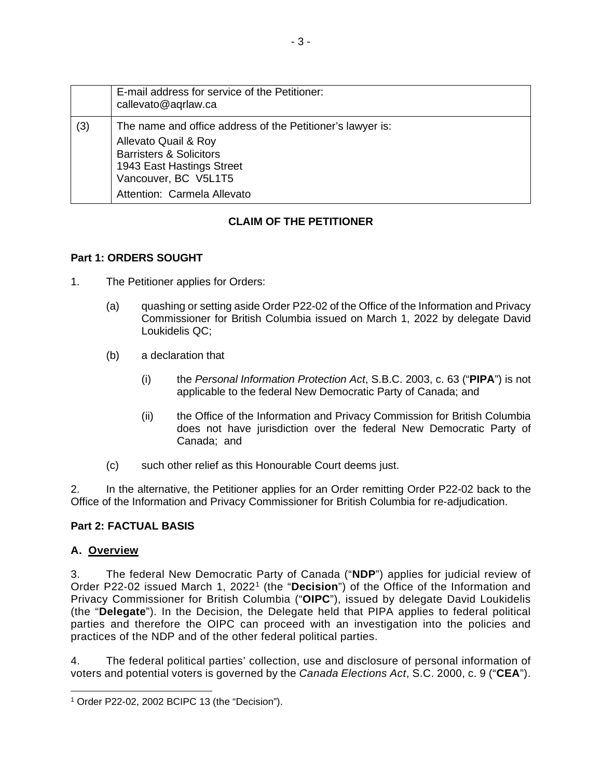|     | E-mail address for service of the Petitioner:<br>callevato@aqrlaw.ca                                                                                                                                         |
|-----|--------------------------------------------------------------------------------------------------------------------------------------------------------------------------------------------------------------|
| (3) | The name and office address of the Petitioner's lawyer is:<br>Allevato Quail & Roy<br><b>Barristers &amp; Solicitors</b><br>1943 East Hastings Street<br>Vancouver, BC V5L1T5<br>Attention: Carmela Allevato |

### **CLAIM OF THE PETITIONER**

#### **Part 1: ORDERS SOUGHT**

- 1. The Petitioner applies for Orders:
	- (a) quashing or setting aside Order P22-02 of the Office of the Information and Privacy Commissioner for British Columbia issued on March 1, 2022 by delegate David Loukidelis QC;
	- (b) a declaration that
		- (i) the *Personal Information Protection Act*, S.B.C. 2003, c. 63 ("**PIPA**") is not applicable to the federal New Democratic Party of Canada; and
		- (ii) the Office of the Information and Privacy Commission for British Columbia does not have jurisdiction over the federal New Democratic Party of Canada; and
	- (c) such other relief as this Honourable Court deems just.

2. In the alternative, the Petitioner applies for an Order remitting Order P22-02 back to the Office of the Information and Privacy Commissioner for British Columbia for re-adjudication.

#### **Part 2: FACTUAL BASIS**

#### **A. Overview**

3. The federal New Democratic Party of Canada ("**NDP**") applies for judicial review of Order P22-02 issued March [1](#page-41-0), 2022<sup>1</sup> (the "Decision") of the Office of the Information and Privacy Commissioner for British Columbia ("**OIPC**"), issued by delegate David Loukidelis (the "**Delegate**"). In the Decision, the Delegate held that PIPA applies to federal political parties and therefore the OIPC can proceed with an investigation into the policies and practices of the NDP and of the other federal political parties.

4. The federal political parties' collection, use and disclosure of personal information of voters and potential voters is governed by the *Canada Elections Act*, S.C. 2000, c. 9 ("**CEA**").

<span id="page-41-0"></span><sup>1</sup> Order P22-02, 2002 BCIPC 13 (the "Decision").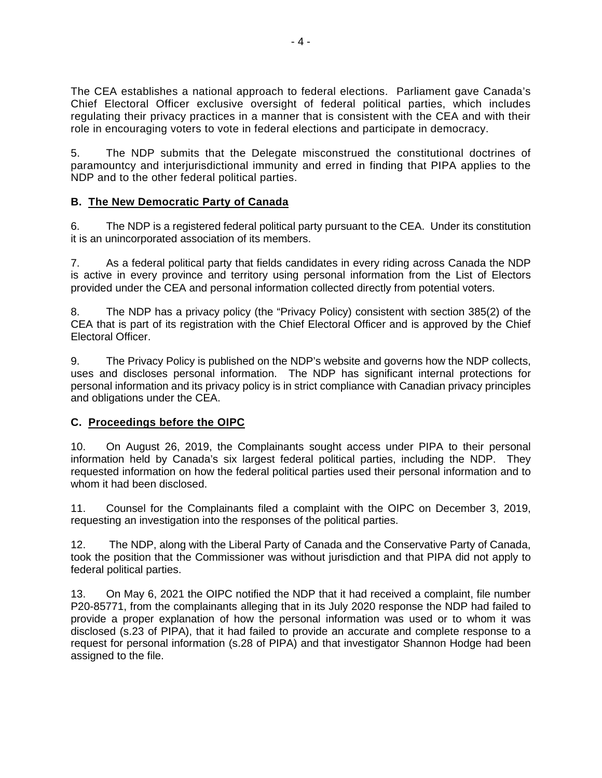The CEA establishes a national approach to federal elections. Parliament gave Canada's Chief Electoral Officer exclusive oversight of federal political parties, which includes regulating their privacy practices in a manner that is consistent with the CEA and with their role in encouraging voters to vote in federal elections and participate in democracy.

5. The NDP submits that the Delegate misconstrued the constitutional doctrines of paramountcy and interjurisdictional immunity and erred in finding that PIPA applies to the NDP and to the other federal political parties.

### **B. The New Democratic Party of Canada**

6. The NDP is a registered federal political party pursuant to the CEA. Under its constitution it is an unincorporated association of its members.

7. As a federal political party that fields candidates in every riding across Canada the NDP is active in every province and territory using personal information from the List of Electors provided under the CEA and personal information collected directly from potential voters.

8. The NDP has a privacy policy (the "Privacy Policy) consistent with section 385(2) of the CEA that is part of its registration with the Chief Electoral Officer and is approved by the Chief Electoral Officer.

9. The Privacy Policy is published on the NDP's website and governs how the NDP collects, uses and discloses personal information. The NDP has significant internal protections for personal information and its privacy policy is in strict compliance with Canadian privacy principles and obligations under the CEA.

### **C. Proceedings before the OIPC**

10. On August 26, 2019, the Complainants sought access under PIPA to their personal information held by Canada's six largest federal political parties, including the NDP. They requested information on how the federal political parties used their personal information and to whom it had been disclosed.

11. Counsel for the Complainants filed a complaint with the OIPC on December 3, 2019, requesting an investigation into the responses of the political parties.

12. The NDP, along with the Liberal Party of Canada and the Conservative Party of Canada, took the position that the Commissioner was without jurisdiction and that PIPA did not apply to federal political parties.

13. On May 6, 2021 the OIPC notified the NDP that it had received a complaint, file number P20-85771, from the complainants alleging that in its July 2020 response the NDP had failed to provide a proper explanation of how the personal information was used or to whom it was disclosed (s.23 of PIPA), that it had failed to provide an accurate and complete response to a request for personal information (s.28 of PIPA) and that investigator Shannon Hodge had been assigned to the file.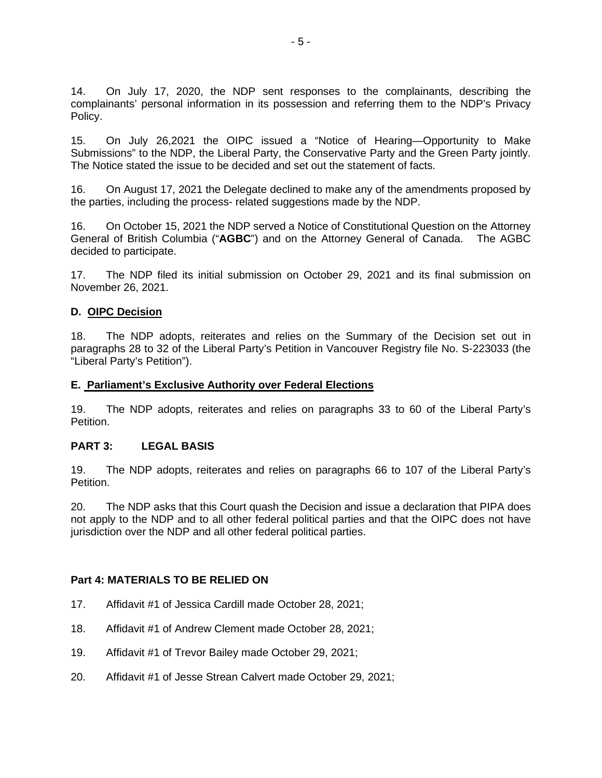14. On July 17, 2020, the NDP sent responses to the complainants, describing the complainants' personal information in its possession and referring them to the NDP's Privacy Policy.

15. On July 26,2021 the OIPC issued a "Notice of Hearing—Opportunity to Make Submissions" to the NDP, the Liberal Party, the Conservative Party and the Green Party jointly. The Notice stated the issue to be decided and set out the statement of facts.

16. On August 17, 2021 the Delegate declined to make any of the amendments proposed by the parties, including the process- related suggestions made by the NDP.

16. On October 15, 2021 the NDP served a Notice of Constitutional Question on the Attorney General of British Columbia ("**AGBC**") and on the Attorney General of Canada. The AGBC decided to participate.

17. The NDP filed its initial submission on October 29, 2021 and its final submission on November 26, 2021.

#### **D. OIPC Decision**

18. The NDP adopts, reiterates and relies on the Summary of the Decision set out in paragraphs 28 to 32 of the Liberal Party's Petition in Vancouver Registry file No. S-223033 (the "Liberal Party's Petition").

#### **E. Parliament's Exclusive Authority over Federal Elections**

19. The NDP adopts, reiterates and relies on paragraphs 33 to 60 of the Liberal Party's Petition.

#### **PART 3: LEGAL BASIS**

19. The NDP adopts, reiterates and relies on paragraphs 66 to 107 of the Liberal Party's Petition.

20. The NDP asks that this Court quash the Decision and issue a declaration that PIPA does not apply to the NDP and to all other federal political parties and that the OIPC does not have jurisdiction over the NDP and all other federal political parties.

#### **Part 4: MATERIALS TO BE RELIED ON**

- 17. Affidavit #1 of Jessica Cardill made October 28, 2021;
- 18. Affidavit #1 of Andrew Clement made October 28, 2021;
- 19. Affidavit #1 of Trevor Bailey made October 29, 2021;
- 20. Affidavit #1 of Jesse Strean Calvert made October 29, 2021;